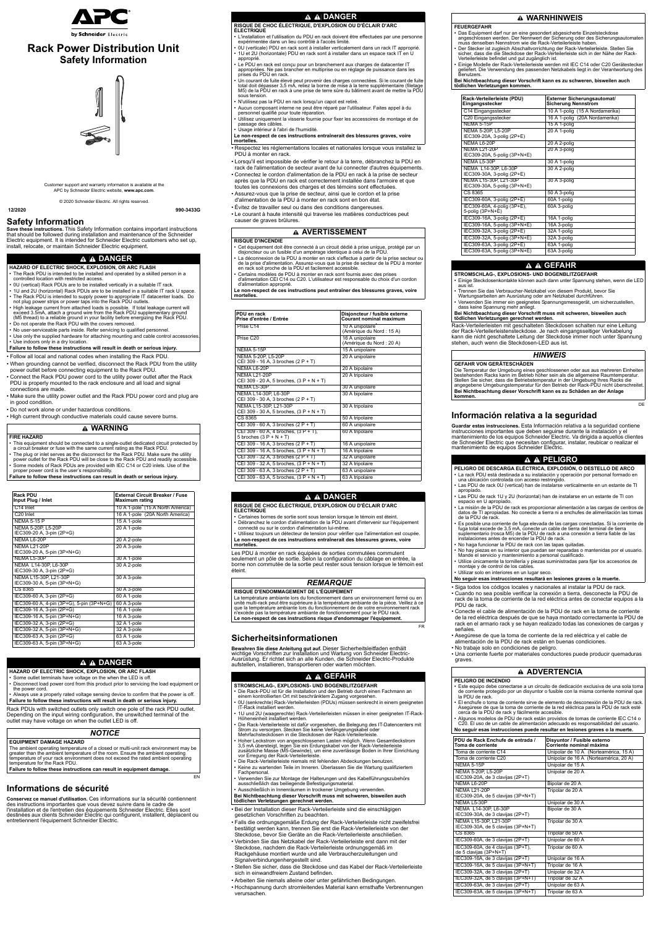Customer support and warranty information is available at the APC by Schneider Electric website, **www.apc.com**.

© 2020 Schneider Electric. All rights reserved.

**12/2020 990-3433G**



# **Rack Power Distribution Unit Safety Information**



# **Safety Information**

**Save these instructions.** This Safety Information contains important instructions that should be followed during installation and maintenance of the Schneider Electric equipment. It is intended for Schneider Electric customers who set up, install, relocate, or maintain Schneider Electric equipment.

• Follow all local and national codes when installing the Rack PDU.

- When grounding cannot be verified, disconnect the Rack PDU from the utility power outlet before connecting equipment to the Rack PDU.
- Connect the Rack PDU power cord to the utility power outlet after the Rack PDU is properly mounted to the rack enclosure and all load and signal connections are made.
- Make sure the utility power outlet and the Rack PDU power cord and plug are in good condition.

• Do not work alone or under hazardous conditions.

• High current through conductive materials could cause severe burns.

Rack PDUs with switched outlets only switch one pole of the rack PDU outlet. Depending on the input wiring configuration, the unswitched terminal of the outlet may have voltage on when the outlet LED is off.

EN

# **Informations de sécurité**

**Conservez ce manuel d'utilisation.** Ces informations sur la sécurité contiennent des instructions importantes que vous devez suivre dans le cadre de l'installation et de l'entretien des équipements Schneider Electric. Elles sont destinées aux clients Schneider Electric qui configurent, installent, déplacent ou entretiennent l'équipement Schneider Electric.

## **DANGER**

**HAZARD OF ELECTRIC SHOCK, EXPLOSION, OR ARC FLASH**

- Some outlet terminals have voltage on the when the LED is off.
- Disconnect load power cord from this product prior to servicing the load equipment or the power cord.
- The Rack PDU is intended to be installed and operated by a skilled person in a controlled location with restricted access.
- 0U (vertical) Rack PDUs are to be installed vertically in a suitable IT rack.
- 1U and 2U (horizontal) Rack PDUs are to be installed in a suitable IT rack U space. • The Rack PDU is intended to supply power to appropriate IT datacenter loads. Do not plug power strips or power taps into the Rack PDU outlets.
- High leakage current from attached loads is possible. If total leakage current will exceed 3.5mA, attach a ground wire from the Rack PDU supplementary ground (M5 thread) to a reliable ground in your facility before energizing the Rack PDU.
- Do not operate the Rack PDU with the covers removed.
- No user-serviceable parts inside. Refer servicing to qualified personnel.
- Use only the supplied hardware for attaching mounting and cable control accessories. • Use indoors only in a dry location.
- **Failure to follow these instructions will result in death or serious injury.**

## **WARNING**

#### **FIRE HAZARD**

- This equipment should be connected to a single-outlet dedicated circuit protected by a circuit breaker or fuse with the same current rating as the Rack PDU.
- The plug or inlet serves as the disconnect for the Rack PDU. Make sure the utility power outlet for the Rack PDU will be close to the Rack PDU and readily accessible.
- Some models of Rack PDUs are provided with IEC C14 or C20 inlets. Use of the proper power cord is the user's responsibility.

**Failure to follow these instructions can result in death or serious injury.**

| <b>Rack PDU</b><br>Input Plug / Inlet                | <b>External Circuit Breaker / Fuse</b><br><b>Maximum rating</b> |
|------------------------------------------------------|-----------------------------------------------------------------|
| C14 Inlet                                            | 10 A 1-pole <sup>"</sup> (15 A North America)                   |
| C <sub>20</sub> Inlet                                | 16 A 1-pole (20A North America)                                 |
| <b>NEMA 5-15 P</b>                                   | 15 A 1-pole                                                     |
| NEMA 5-20P, L5-20P<br>IEC309-20 A, 3-pin (2P+G)      | 20 A 1-pole                                                     |
| NEMA L6-20P                                          | 20 A 2-pole                                                     |
| <b>NEMA L21-20P</b><br>IEC309-20 A, 5-pin (3P+N+G)   | 20 A 3-pole                                                     |
| NEMA L5-30P                                          | 30 A 1-pole                                                     |
| NEMA L14-30P, L6-30P<br>IEC309-30 A, 3-pin (2P+G)    | 30 A 2-pole                                                     |
| NEMA L15-30P, L21-30P<br>IEC309-30 A, 5-pin (3P+N+G) | 30 A 3-pole                                                     |
| CS 8365                                              | 50 A 3-pole                                                     |
| IEC309-60 A, 3-pin (2P+G)                            | 60 A 1-pole                                                     |
| IEC309-60 A, 4-pin (3P+G), 5-pin (3P+N+G)            | 60 A 3-pole                                                     |
| IEC309-16 A, 3-pin (2P+G)                            | 16 A 1-pole                                                     |
| IEC309-16 A, 5-pin (3P+N+G)                          | 16 A 3-pole                                                     |
| IEC309-32 A, 3-pin (2P+G)                            | 32 A 1-pole                                                     |
| IEC309-32 A, 5-pin (3P+N+G)                          | 32 A 3-pole                                                     |
| IEC309-63 A, 3-pin (2P+G)                            | 63 A 1-pole                                                     |
| IEC309-63 A, 5-pin (3P+N+G)                          | 63 A 3-pole                                                     |

### **DANGER**

**HAZARD OF ELECTRIC SHOCK, EXPLOSION, OR ARC FLASH**

• Always use a properly rated voltage sensing device to confirm that the power is off. **Failure to follow these instructions will result in death or serious injury.**

### *NOTICE*

#### **EQUIPMENT DAMAGE HAZARD**

The ambient operating temperature of a closed or multi-unit rack environment may be greater than the ambient temperature of the room. Ensure the ambient operating temperature of your rack environment does not exceed the rated ambient operating temperature for the Rack PDU.

**Failure to follow these instructions can result in equipment damage.**

- Certaines bornes de sortie sont sous tension lorsque le témoin est éteint.
- Débranchez le cordon d'alimentation de la PDU avant d'intervenir sur l'équipement connecté ou sur le cordon d'alimentation lui-même.
- Utilisez toujours un détecteur de tension pour vérifier que l'alimentation est coupée. **Le non-respect de ces instructions entraînerait des blessures graves, voire**
- Respectez les réglementations locales et nationales lorsque vous installez la PDU à monter en rack.
- Lorsqu'il est impossible de vérifier le retour à la terre, débranchez la PDU en rack de l'alimentation de secteur avant de lui connecter d'autres équipements.
- Connectez le cordon d'alimentation de la PDU en rack à la prise de secteur après que la PDU en rack est correctement installée dans l'armoire et que toutes les connexions des charges et des témoins sont effectuées.
- Assurez-vous que la prise de secteur, ainsi que le cordon et la prise d'alimentation de la PDU à monter en rack sont en bon état.
- Évitez de travailler seul ou dans des conditions dangereuses.
- Le courant à haute intensité qui traverse les matières conductrices peut causer de graves brûlures.

Les PDU à monter en rack équipées de sorties commutées commutent seulement un pôle de sortie. Selon la configuration du câblage en entrée, la borne non commutée de la sortie peut rester sous tension lorsque le témoin est éteint.

FR

# **Sicherheitsinformationen**

**Bewahren Sie diese Anleitung gut auf.** Dieser Sicherheitsleitfaden enthält wichtige Vorschriften zur Installation und Wartung von Schneider Electric-Ausrüstung. Er richtet sich an alle Kunden, die Schneider Electric-Produkte aufstellen, installieren, transportieren oder warten möchten.

• Bei der Installation dieser Rack-Verteilerleiste sind die einschlägigen gesetzlichen Vorschriften zu beachten.

- Falls die ordnungsgemäße Erdung der Rack-Verteilerleiste nicht zweifelsfrei bestätigt werden kann, trennen Sie erst die Rack-Verteilerleiste von der Steckdose, bevor Sie Geräte an die Rack-Verteilerleiste anschließen.
- Verbinden Sie das Netzkabel der Rack-Verteilerleiste erst dann mit der Steckdose, nachdem die Rack-Verteilerleiste ordnungsgemäß im Rackgehäuse montiert wurde und alle Verbraucherzuleitungen und Signalverbindungenhergestellt sind.
- Stellen Sie sicher, dass die Steckdose und das Kabel der Rack-Verteilerleiste sich in einwandfreiem Zustand befinden.
- Arbeiten Sie niemals alleine oder unter gefährlichen Bedingungen.
- Hochspannung durch stromleitendes Material kann ernsthafte Verbrennungen verursachen.

#### **RISQUE DE CHOC ÉLECTRIQUE, D'EXPLOSION OU D'ÉCLAIR D'ARC**

- **ÉLECTRIQUE** • L'installation et l'utilisation du PDU en rack doivent être effectuées par une personne
- expérimentée dans un lieu contrôlé à l'accès limité.
- 0U (verticale) PDU en rack sont à installer verticalement dans un rack IT approprié. • 1U et 2U (horizontale) PDU en rack sont à installer dans un espace rack IT en U approprié.
- Le PDU en rack est conçu pour un branchement aux charges de datacenter IT appropriées. Ne pas brancher en multiprise ou en réglage de puissance dans les prises du PDU en rack.
- Un courant de fuite élevé peut provenir des charges connectées. Si le courant de fuite total doit dépasser 3,5 mA, reliez la borne de mise à la terre supplémentaire (filetage M5) de la PDU en rack à une prise de terre sûre du bâtiment avant de mettre la PDU sous tension.
- N'utilisez pas la PDU en rack lorsqu'un capot est retiré.
- Aucun composant interne ne peut être réparé par l'utilisateur. Faites appel à du personnel qualifié pour toute réparation.
- Utilisez uniquement la visserie fournie pour fixer les accessoires de montage et de passage des câbles.
- Usage intérieur à l'abri de l'humidité.

**Le non-respect de ces instructions entraînerait des blessures graves, voire mortelles.**

### **AVERTISSEMENT**

#### **RISQUE D'INCENDIE**

- Cet équipement doit être connecté à un circuit dédié à prise unique, protégé par un disjoncteur ou un fusible d'un ampérage identique à celui de la PDU.
- La déconnexion de la PDU à monter en rack s'effectue à partir de la prise secteur ou de la prise d'alimentation. Assurez-vous que la prise de secteur de la PDU à monter en rack soit proche de la PDU et facilement accessible.
- Certains modèles de PDU à monter en rack sont fournis avec des prises d'alimentation CEI C14 ou C20. L'utilisateur est responsable du choix d'un cordon
- d'alimentation approprié.

- Las PDU de rack 1U y 2U (horizontal) han de instalarse en un estante de TI con espacio en U apropiado.
- La misión de la PDU de rack es proporcionar alimentación a las cargas de centros de datos de TI apropiadas. No conecte a tierra ni a enchufes de alimentación las tomas de la PDU de rack.
- Es posible una corriente de fuga elevada de las cargas conectadas. Si la corriente de fuga total excede de 3,5 mA, conecte un cable de tierra del terminal de tierra suplementario (rosca M5) de la PDU de rack a una conexión a tierra fiable de las instalaciones antes de encender la PDU de rack.
- No haga funcionar la PDU de rack con las tapas quitadas.
- No hay piezas en su interior que puedan ser reparadas o mantenidas por el usuario. Mande el servicio y mantenimiento a personal cualificado.
- Utilice únicamente la tornillería y piezas suministradas para fijar los accesorios de montaje y de control de los cables.
- Utilizar solo en interiores en un lugar seco.

**Le non-respect de ces instructions peut entraîner des blessures graves, voire mortelles.**

| Prise C <sub>14</sub>                                              | 10 A unipolaire<br>(Amérique du Nord : 15 A) |
|--------------------------------------------------------------------|----------------------------------------------|
| Prise C <sub>20</sub>                                              | 16 A unipolaire<br>(Amérique du Nord : 20 A) |
| <b>NEMA 5-15P</b>                                                  | 15 A unipolaire                              |
| NEMA 5-20P, L5-20P<br>CEI 309 - 16 A, 3 broches (2 P + T)          | 20 A unipolaire                              |
| NEMA L6-20P                                                        | 20 A bipolaire                               |
| <b>NEMA L21-20P</b><br>CEI 309 - 20 A, 5 broches, $(3 P + N + T)$  | 20 A tripolaire                              |
| NEMA L5-30P                                                        | 30 A unipolaire                              |
| NEMA L14-30P, L6-30P<br>CEI 309 - 30 A, 3 broches (2 P + T)        | 30 A bipolaire                               |
| NEMA L15-30P, L21-30P<br>CEI 309 - 30 A, 5 broches, (3 P + N + T)  | 30 A tripolaire                              |
| CS 8365                                                            | 50 A tripolaire                              |
| CEI 309 - 60 A, 3 broches (2 P + T)                                | 60 A unipolaire                              |
| CEI 309 - 60 A, 4 broches, (3 P + T),<br>5 broches $(3 P + N + T)$ | 60 A tripolaire                              |
| CEI 309 - 16 A, 3 broches (2 P + T)                                | 16 A unipolaire                              |
| CEI 309 - 16 A, 5 broches, $(3P + N + T)$                          | 16 A tripolaire                              |
| CEI 309 - 32 A, 3 broches (2 P + T)                                | 32 A unipolaire                              |
| CEI 309 - 32 A, 5 broches, $(3 P + N + T)$                         | 32 A tripolaire                              |
| CEI 309 - 63 A, 3 broches (2 P + T)                                | 63 A unipolaire                              |
| CEI 309 - 63 A, 5 broches, $(3 P + N + T)$                         | 63 A tripolaire                              |

#### **DANGER**

**RISQUE DE CHOC ÉLECTRIQUE, D'EXPLOSION OU D'ÉCLAIR D'ARC ÉLECTRIQUE**

**mortelles.**

### *REMARQUE*

#### **RISQUE D'ENDOMMAGEMENT DE L'ÉQUIPEMENT**

La température ambiante lors du fonctionnement dans un environnement fermé ou en unité multi-rack peut être supérieure à la température ambiante de la pièce. Veillez à ce que la température ambiante lors du fonctionnement de de votre environnement rack n'excède pas la température ambiante de fonctionnement pour le PDU rack. **Le non-respect de ces instructions risque d'endommager l'équipement.**

### **GEFAHR**

- **STROMSCHLAG-, EXPLOSIONS- UND BOGENBLITZGEFAHR**
- Die Rack-PDU ist für die Installation und den Betrieb durch einen Fachmann an einem kontrollierten Ort mit beschränktem Zugang vorgesehen.
- 0U (senkrechte) Rack-Verteilerleisten (PDUs) müssen senkrecht in einem geeigneten IT-Rack installiert werden.
- 1U und 2U (waagerechte) Rack-Verteilerleisten müssen in einer geeigneten IT-Rack-Höheneinheit installiert werden.
- Die Rack-Verteilerleiste ist dafür vorgesehen, die Belegung des IT-Datencenters mit Strom zu versorgen. Stecken Sie keine Verlängerungskabel oder Mehrfachsteckdosen in die Steckdosen der Rack-Verteilerleiste.
- Hoher Leckstrom von angeschlossenen Lasten möglich. Wenn Gesamtleckstrom 3,5 mA übersteigt, legen Sie ein Erdungskabel von der Rack-Verteilerleiste zusätzliche Masse (M5-Gewinde), um eine zuverlässige Boden in Ihrer Einrichtung vor Erregung der Rack-Verteilerleiste.
- Die Rack-Verteilerleiste niemals mit fehlenden Abdeckungen benutzen.
- Keine zu wartenden Teile im Inneren. Überlassen Sie die Wartung qualifiziertem **Fachpersonal**
- Verwenden Sie zur Montage der Halterungen und des Kabelführungszubehörs ausschließlich das beiliegende Befestigungsmaterial.

• Ausschließlich in Innenräumen in trockener Umgebung verwenden. **Bei Nichtbeachtung dieser Vorschrift muss mit schweren, bisweilen auch tödlichen Verletzungen gerechnet werden.**

Rack-Verteilerleisten mit geschalteten Steckdosen schalten nur eine Leitung der Rack-Verteilerleistensteckdose. Je nach eingangsseitiger Verkabelung kann die nicht geschaltete Leitung der Steckdose immer noch unter Spannung stehen, auch wenn die Steckdosen-LED aus ist.

DE

# **Información relativa a la seguridad**

**Guardar estas instrucciones.** Esta Información relativa a la seguridad contiene instrucciones importantes que deben seguirse durante la instalación y el mantenimiento de los equipos Schneider Electric. Va dirigida a aquellos clientes de Schneider Electric que necesitan configurar, instalar, reubicar o realizar el mantenimiento de equipos Schneider Electric.

# **A A PELIGRO**

- Siga todos los códigos locales y nacionales al instalar la PDU de rack.
- Cuando no sea posible verificar la conexión a tierra, desconecte la PDU de rack de la toma de corriente de la red eléctrica antes de conectar equipos a la PDU de rack.
- Conecte el cable de alimentación de la PDU de rack en la toma de corriente de la red eléctrica después de que se haya montado correctamente la PDU de rack en el armario rack y se hayan realizado todas las conexiones de cargas y señales.
- Asegúrese de que la toma de corriente de la red eléctrica y el cable de alimentación de la PDU de rack están en buenas condiciones.
- No trabaje solo en condiciones de peligro.

• Una corriente fuerte por materiales conductores puede producir quemaduras graves.

### **WARNHINWEIS**

#### **FEUERGEFAHR**

- Das Equipment darf nur an eine gesondert abgesicherte Einzelsteckdose angeschlossen werden. Der Nennwert der Sicherung oder des Sicherungsautomaten muss denselben Nennstrom wie die Rack-Verteilerleiste haben.
- Der Stecker ist zugleich Abschaltvorrichtung der Rack-Verteilerleiste. Stellen Sie sicher, dass die die Steckdose der Rack-Verteilerleiste sich in der Nähe der Rack-Verteilerleiste befindet und gut zugänglich ist.
- Einige Modelle der Rack-Verteilerleiste werden mit IEC C14 oder C20 Gerätestecker geliefert. Die Verwendung des passenden Netzkabels liegt in der Verantwortung des Benutzers.

**Bei Nichtbeachtung dieser Vorschrift kann es zu schweren, bisweilen auch tödlichen Verletzungen kommen.**

| Rack-Verteilerleiste (PDU)<br>Eingangsstecker         | <b>Externer Sicherungsautomat/</b><br><b>Sicherung Nennstrom</b> |
|-------------------------------------------------------|------------------------------------------------------------------|
| C14 Eingangsstecker                                   | 10 A 1-polig (15 A Nordamerika)                                  |
| C20 Eingangsstecker                                   | 16 A 1-polig (20A Nordamerika)                                   |
| <b>NEMA 5-15P</b>                                     | 15 A 1-polig                                                     |
| NEMA 5-20P, L5-20P<br>IEC309-20A, 3-polig (2P+E)      | 20 A 1-polig                                                     |
| NEMA L6-20P                                           | 20 A 2-polig                                                     |
| NFMA   21-20P<br>IEC309-20A, 5-polig (3P+N+E)         | 20 A 3-polig                                                     |
| <b>NFMA I 5-30P</b>                                   | 30 A 1-polig                                                     |
| NEMA L14-30P, L6-30P<br>IEC309-30A, 3-polig (2P+E)    | 30 A 2-polig                                                     |
| NEMA L15-30P, L21-30P<br>IEC309-30A, 5-polig (3P+N+E) | 30 A 3-polig                                                     |
| CS 8365                                               | 50 A 3-polig                                                     |
| IEC309-60A, 3-polig (2P+E)                            | 60A 1-polig                                                      |
| IEC309-60A, 4-polig (3P+E),<br>5-polig (3P+N+E)       | 60A 3-polig                                                      |
| IEC309-16A, 3-polig (2P+E)                            | 16A 1-polig                                                      |
| IEC309-16A, 5-polig (3P+N+E)                          | 16A 3-polig                                                      |
| IEC309-32A, 3-polig (2P+E)                            | 32A 1-polig                                                      |
| IEC309-32A, 5-polig (3P+N+E)                          | 32A 3-polig                                                      |
| IEC309-63A, 3-polig (2P+E)                            | 63A 1-polig                                                      |
| IEC309-63A, 5-polig (3P+N+E)                          | 63A 3-polig                                                      |

## **GEFAHR**

**STROMSCHLAG-, EXPLOSIONS- UND BOGENBLITZGEFAHR**

- Einige Steckdosenkontakte können auch dann unter Spannung stehen, wenn die LED aus ist.
- Trennen Sie das Verbraucher-Netzkabel von diesem Produkt, bevor Sie Wartungsarbeiten am Ausrüstung oder am Netzkabel durchführen.
- Verwenden Sie immer ein geeignetes Spannungsmessgerät, um sicherzustellen, dass keine Spannung mehr anliegt.
- **Bei Nichtbeachtung dieser Vorschrift muss mit schweren, bisweilen auch tödlichen Verletzungen gerechnet werden.**

### *HINWEIS*

#### **GEFAHR VON GERÄTESCHÄDEN**

Die Temperatur der Umgebung eines geschlossenen oder aus aus mehreren Einheiten bestehenden Racks kann im Betrieb höher sein als die allgemeine Raumtemperatur. Stellen Sie sicher, dass die Betriebstemperatur in der Umgebung Ihres Racks die angegebene Umgebungstemperatur für den Betrieb der Rack-PDU nicht überschreitet. **Bei Nichtbeachtung dieser Vorschrift kann es zu Schäden an der Anlage kommen.**

- **PELIGRO DE DESCARGA ELÉCTRICA, EXPLOSIÓN, O DESTELLO DE ARCO** • La rack PDU está destinada a su instalación y operación por personal formado en una ubicación controlada con acceso restringido.
- Las PDU de rack 0U (vertical) han de instalarse verticalmente en un estante de TI apropiado.
- 

#### **No seguir esas instrucciones resultará en lesiones graves o la muerte.**

### **ADVERTENCIA**

#### **PELIGRO DE INCENDIO**

- Este equipo debe conectarse a un circuito de dedicación exclusiva de una sola toma de corriente protegido por un disyuntor o fusible con la misma corriente nominal que la PDU de rack.
- El enchufe o toma de corriente sirve de elemento de desconexión de la PDU de rack. Asegúrese de que la toma de corriente de la red eléctrica para la PDU de rack esté cerca de la PDU de rack y fácilmente accesible.
- Algunos modelos de PDU de rack están provistos de tomas de corriente IEC C14 o C20. El uso de un cable de alimentación adecuado es responsabilidad del usuario.

**No seguir esas instrucciones puede resultar en lesiones graves o la muerte.**

| PDU de Rack Enchufe de entrada /<br>Toma de corriente       | Disyuntor / Fusible externo<br>Corriente nominal máxima |
|-------------------------------------------------------------|---------------------------------------------------------|
| Toma de corriente C14                                       | Unipolar de 10 A (Norteamérica, 15 A)                   |
| Toma de corriente C20                                       | Unipolar de 16 A <sup>°</sup> (Norteamérica, 20 A)      |
| <b>NEMA 5-15P</b>                                           | Unipolar de 15 A                                        |
| NEMA 5-20P, L5-20P<br>IEC309-20A, de 3 clavijas (2P+T)      | Unipolar de 20 A                                        |
| NEMA L6-20P                                                 | Bipolar de 20 A                                         |
| NFMA   21-20P<br>IEC309-20A, de 5 clavijas (3P+N+T)         | Tripolar de 20 A                                        |
| NEMA L5-30P                                                 | Unipolar de 30 A                                        |
| NEMA L14-30P. L6-30P<br>IEC309-30A, de 3 clavijas (2P+T)    | Bipolar de 30 A                                         |
| NEMA L15-30P, L21-30P<br>IEC309-30A, de 5 clavijas (3P+N+T) | Tripolar de 30 A                                        |
| CS 8365                                                     | Tripolar de 50 A                                        |
| IEC309-60A, de 3 clavijas (2P+T)                            | Unipolar de 60 A                                        |
| IEC309-60A, de 4 clavijas (3P+T),<br>de 5 clavijas (3P+N+T) | Tripolar de 60 A                                        |
| IEC309-16A, de 3 clavijas (2P+T)                            | Unipolar de 16 A                                        |
| IEC309-16A, de 5 clavijas (3P+N+T)                          | Tripolar de 16 A                                        |
| IEC309-32A, de 3 clavijas (2P+T)                            | Unipolar de 32 A                                        |
| IEC309-32A, de 5 clavijas (3P+N+T)                          | Tripolar de 32 A                                        |
| IEC309-63A, de 3 clavijas (2P+T)                            | Unipolar de 63 A                                        |
| IEC309-63A, de 5 clavijas (3P+N+T)                          | Tripolar de 63 A                                        |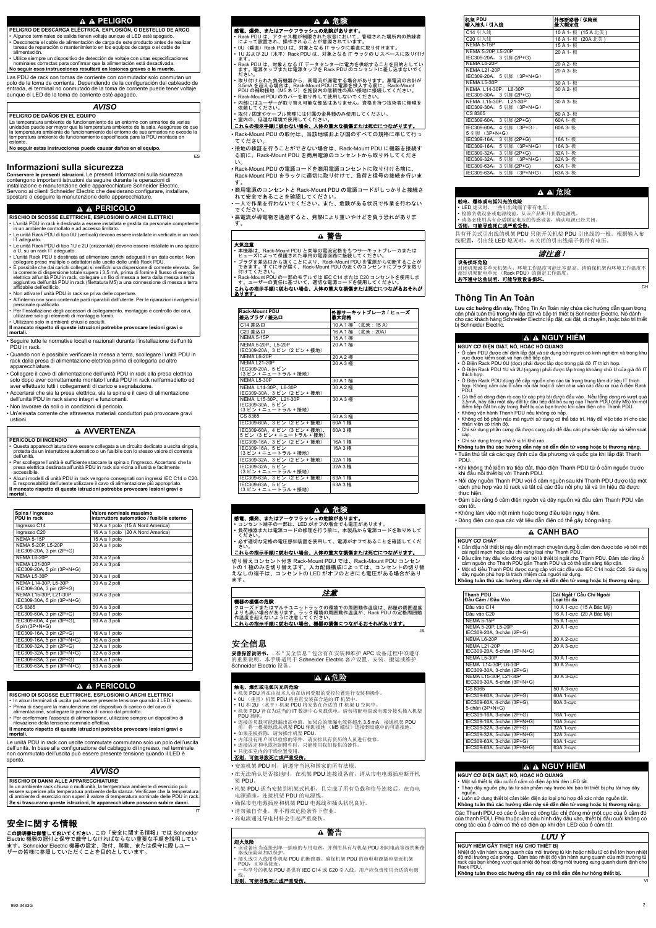Las PDU de rack con tomas de corriente con conmutador solo conmutan un polo de la toma de corriente. Dependiendo de la configuración del cableado de entrada, el terminal no conmutado de la toma de corriente puede tener voltaje aunque el LED de la toma de corriente esté apagado.

**Conservare le presenti istruzioni.** Le presenti Informazioni sulla sicurezza contengono importanti istruzioni da seguire durante le operazioni di installazione e manutenzione delle apparecchiature Schneider Electric. Servono ai clienti Schneider Electric che desiderano configurare, installare, spostare o eseguire la manutenzione delle apparecchiature.

### **A A PERICOLO**

ES

- 本機器は、Rack-Mount PDU と同等の電流定格をもつサーキットブレーカまたは ヒューズによって保護された専用の電源回路に接続してください。
- プラグを差込口から抜くことにより、Rack-Mount PDU を電源から切断することが できます。すぐに手が届く、Rack-Mount PDU の近くのコンセントにプラグを取り 付けてください。

Rack-Mount PDU の一部のモデルでは IEC C14 または C20 コンセントを使用しま す。ユーザーの責任に基づいて、適切な電源コードを使用してください

:れらの指示手順に従わない場合、人体の重大な損傷または死亡につながるおそれが <u>あります。</u>

## **Informazioni sulla sicurezza**

• Seguire tutte le normative locali e nazionali durante l'installazione dell'unità PDU in rack.

• Quando non è possibile verificare la messa a terra, scollegare l'unità PDU in rack dalla presa di alimentazione elettrica prima di collegarla ad altre apparecchiature.

• Collegare il cavo di alimentazione dell'unità PDU in rack alla presa elettrica solo dopo aver correttamente montato l'unità PDU in rack nell'armadietto ed aver effettuato tutti i collegamenti di carico e segnalazione.

• Accertarsi che sia la presa elettrica, sia la spina e il cavo di alimentazione dell'unità PDU in rack siano integri e funzionanti.

• Non lavorare da soli o in condizioni di pericolo.

• Un'elevata corrente che attraversa materiali conduttori può provocare gravi ustioni.

Le unità PDU in rack con uscite commutate commutano solo un polo dell'uscita dell'unità. In base alla configurazione del cablaggio di ingresso, nel terminale non commutato dell'uscita può essere presente tensione quando il LED è spento.

IT

- 该设备应当连接到单一插座的专用电路,并利用具有与机架 PDU 相同电流等级的断路 器或保险丝加以保护
- 插头或引入线用作机架 PDU 的断路器。确保机架 PDU 的市电电源插座靠近机架 PDU, 且容易接近。
- 一些型号的机架 PDU 提供有 IEC C14 或 C20 引入线。用户应负责使用合适的电源 钱。

### 否则,可能导致死亡或严重受伤。

- Đảm bảo rằng ố cắm điện nguồn và dây nguồn và đầu cắm Thanh PDU vẫn còn tốt.
- Không làm việc một mình hoặc trong điều kiện nguy hiểm.
- Dòng điện cao qua các vật liệu dẫn điện có thể gây bỏng nặng.

### **A A PELIGRO**

- **PELIGRO DE DESCARGA ELÉCTRICA, EXPLOSIÓN, O DESTELLO DE ARCO**
- Algunos terminales de salida tienen voltaje aunque el LED esté apagado.
- Desconecte el cable de alimentación de carga de este producto antes de realizar tareas de reparación o mantenimiento en los equipos de carga o el cable de alimentación.
- Utilice siempre un dispositivo de detección de voltaje con unas especificaciones nominales correctas para confirmar que la alimentación está desactivada.

### **No seguir esas instrucciones resultará en lesiones graves o la muerte.**

### *AVISO*

#### **PELIGRO DE DAÑOS EN EL EQUIPO**

La temperatura ambiente de funcionamiento de un entorno con armarios de varias unidades puede ser mayor que la temperatura ambiente de la sala. Asegúrese de que la temperatura ambiente de funcionamiento del entorno de sus armarios no excede la temperatura ambiente de funcionamiento especificada para la PDU montada en estante.

**No seguir estas instrucciones puede causar daños en el equipo.**

**RISCHIO DI SCOSSE ELETTRICHE, ESPLOSIONI O ARCHI ELETTRICI**

- L'unità PDU in rack è destinata a essere installata e gestita da personale competente in un ambiente controllato e ad accesso limitato.
- Le unità Rack PDU di tipo 0U (verticali) devono essere installate in verticale in un rack IT adeguato.
- Le unità Rack PDU di tipo 1U e 2U (orizzontali) devono essere installate in uno spazio a U, su un rack IT adeguato.
- L'unità Rack PDU è destinata ad alimentare carichi adeguati in un data center. Non collegare prese multiple o adattatori alle uscite delle unità Rack PDU.
- È possibile che dai carichi collegati si verifichi una dispersione di corrente elevata. Se la corrente di dispersione totale supera i 3,5 mA, prima di fornire il flusso di energia elettrica all'unità PDU in rack, collegare un filo di messa a terra dalla messa a terra aggiuntiva dell'unità PDU in rack (filettatura M5) a una connessione di messa a terra affidabile dell'edificio.
- Non attivare l'unità PDU in rack se priva delle coperture.
- All'interno non sono contenute parti riparabili dall'utente. Per le riparazioni rivolgersi al personale qualificato.
- Per l'installazione degli accessori di collegamento, montaggio e controllo dei cavi, utilizzare solo gli elementi di montaggio forniti.
- Utilizzare solo in ambienti chiusi e asciutti.

**Il mancato rispetto di queste istruzioni potrebbe provocare lesioni gravi o mortali.**

#### **AVVERTENZA**

#### **PERICOLO DI INCENDIO**

- Questa apparecchiatura deve essere collegata a un circuito dedicato a uscita singola, protetta da un interruttore automatico o un fusibile con lo stesso valore di corrente dell'unità.
- Per scollegare l'unità è sufficiente staccare la spina o l'ingresso. Accertarsi che la presa elettrica destinata all'unità PDU in rack sia vicina all'unità e facilmente accessibile.
- Alcuni modelli di unità PDU in rack vengono consegnati con ingressi IEC C14 o C20. È responsabilità dell'utente utilizzare il cavo di alimentazione più appropriato. **Il mancato rispetto di queste istruzioni potrebbe provocare lesioni gravi o**

**△ △ 危険** 

#### 感電、爆発、またはアークフラッシュの危険があります。

- Rack PDU は、アクセス権が制限された状態において、管理された場所内の熟練者 によって設置され、操作されることが意図されています。
- OU (垂直) Rack PDU は、対象となる IT ラックに垂直に取り付けます。
- 1U および 2U (水平) Rack PDU は、対象となる IT ラックの U スペースに取り付け ます。
- Rack PDU は、対象となる IT データセンターに電力を供給することを目的としてい ます。電源タップまたは電源タップを Rack PDU のコンセントに差し込まないでく ださい。
- ・取り付けられた負荷機器から、高電流が漏電する場合があります。漏電流の合計が 3.5mA を超える場合は、Rack-Mount PDU に電源を投入する前に、Rack-Mount PDU の補助接地 (M5 ネジ) を施設内の信頼性の高い接地に接続してください。
- Rack-Mount PDU のカバーを取り外して使用しないでください。
- 内部にはユーザーが取り替え可能な部品はありません。資格を持つ技術者に修理を 依頼してください。
- 取付 / 固定やケーブル管理には付属の金具類のみ使用してください。
- 室内の、低湿な環境で使用してください。

#### これらの指示手順に従わない場合、人体の重大な損傷または死亡につながります。

• Rack-Mount PDU の取付は、当該地域および国のすべての規格に準じて行っ てください。

• 接地の検証を行うことができない場合は、Rack-Mount PDU に機器を接続す る前に、Rack-Mount PDU を商用電源のコンセントから取り外してくださ  $\mathsf{U}$ 

• Rack-Mount PDU の電源コードを商用電源コンセントに取り付ける前に、 Rack-Mount PDU をラックに適切に取り付けて、負荷と信号の接続を行いま す。

• 商用電源のコンセントと Rack-Mount PDU の電源コードがしっかりと接続さ れて安全であることを確認してください。

●一人で作業を行わないでください。また、危険がある状況で作業を行わない でください。

・高電流が導電物を通過すると、発熱により重いやけどを負う恐れがありま す。

### ▲ 警告

火気注意

| Spina / Ingresso<br>PDU in rack                     | Valore nominale massimo<br>interruttore automatico / fusibile esterno |
|-----------------------------------------------------|-----------------------------------------------------------------------|
| Ingresso C14                                        | 10 A a 1 polo (15 A Nord America)                                     |
| Ingresso C20                                        | 16 A a 1 polo (20 A Nord America)                                     |
| <b>NFMA 5-15P</b>                                   | 15 A a 1 polo                                                         |
| NEMA 5-20P, L5-20P<br>IEC309-20A, 3 pin (2P+G)      | 20 A a 1 polo                                                         |
| <b>NFMA16-20P</b>                                   | 20 A a 2 poli                                                         |
| NFMA   21-20P<br>IEC309-20A, 5 pin (3P+N+G)         | 20 A a 3 poli                                                         |
| <b>NFMA I 5-30P</b>                                 | 30 A a 1 poli                                                         |
| NEMA L14-30P. L6-30P<br>IEC309-30A, 3 pin (2P+G)    | 30 A a 2 poli                                                         |
| NEMA L15-30P, L21-30P<br>IEC309-30A, 5 pin (3P+N+G) | 30 A a 3 poli                                                         |
| CS 8365                                             | 50 A a 3 poli                                                         |
| IEC309-60A, 3 pin (2P+G)                            | 60 A a 1 polo                                                         |
| IEC309-60A, 4 pin (3P+G),<br>5 pin (3P+N+G)         | 60 A a 3 poli                                                         |
| IEC309-16A, 3 pin (2P+G)                            | 16 A a 1 polo                                                         |
| IEC309-16A, 5 pin (3P+N+G)                          | 16 A a 3 poli                                                         |
| IEC309-32A, 3 pin (2P+G)                            | 32 A a 1 polo                                                         |
| IEC309-32A, 5 pin (3P+N+G)                          | 32 A a 3 poli                                                         |
| IEC309-63A, 3 pin (2P+G)                            | 63 A a 1 polo                                                         |
| IEC309-63A, 5 pin (3P+N+G)                          | 63 A a 3 poli                                                         |

## **A A PERICOLO**

**RISCHIO DI SCOSSE ELETTRICHE, ESPLOSIONI O ARCHI ELETTRICI**

- In alcuni terminali di uscita può essere presente tensione quando il LED è spento.
- Prima di eseguire la manutenzione del dispositivo di carico o del cavo di alimentazione, scollegare la potenza di carico dal prodotto.
- Per confermare l'assenza di alimentazione, utilizzare sempre un dispositivo di rilevazione della tensione nominale effettiva.
- **NGUY CѪ ĈIӊN GIҰT, NӘ, HOҺC HӖ QUANG**
- Ở cắm PDU được chỉ định lắp đặt và sử dụng bởi người có kinh nghiệm và trong khu vực được kiếm soát và hạn chế tiếp cận.
- $\cdot$  Ổ Điện Rack PDU 0U (dọc) phải được lắp dọc trong giá đỡ IT thích hợp.
- Ổ Điện Rack PDU 1U và 2U (ngang) phải được lắp trong khoảng chữ U của giá đỡ IT thích hơp.
- Ô Điện Rack PDU dùng đế cấp nguồn cho các tải trọng trung tâm dữ liệu IT thích hợp. Không cắm các ố cắm nối dài hoặc ố cắm chia vào các đầu ra của ố điện Rack PDU.
- $\cdot$  Có thể có dòng điện rò cao từ các phủ tải được đấu vào. Nếu tổng dòng rò vượt quá 3,5mA, hãy đấu một dây đất từ đầu tiếp đất bố sung của Thanh PDU (dây M5) tới một điểm tiếp đất tin cậy trong thiết bị của bạn trước khi cắm điện cho Thanh PDU.
- Không vận hành Thanh PDU nếu không có nắp.
- $\cdot$  Không có bộ phận nào mà người sử dụng có thể bảo trì. Hãy để việc bảo trì cho các nhân viên có trình đô.
- $\cdot$  Chỉ sử dụng phần cứng đã được cung cấp để đấu các phụ kiện lắp ráp và kiểm soát cáp.
- Chỉ sử dụng trong nhà ở vị trí khô ráo.

#### Không tuân thủ các hướng dẫn này sẽ dẫn đến tử vong hoặc bị thương nặng.

- Tuân thủ tất cả các quy định của địa phương và quốc gia khi lắp đặt Thanh PDU.
- Khi không thể kiểm tra tiếp đất, tháo điện Thanh PDU từ ổ cắm nguồn trước khi đấu nối thiết bị với Thanh PDU.
- Nối dây nguồn Thanh PDU với ổ cắm nguồn sau khi Thanh PDU được lắp một cách phù hợp vào tủ rack và tất cả các đấu nối phụ tải và tín hiệu đã được thực hiện.

**Il mancato rispetto di queste istruzioni potrebbe provocare lesioni gravi o mortali.**

### *AVVISO*

### **RISCHIO DI DANNI ALLE APPARECCHIATURE**

In un ambiente rack chiuso o multiunità, la temperatura ambiente di esercizio può essere superiore alla temperatura ambiente della stanza. Verificare che la temperatura di ambiente di esercizio non superi il valore di temperatura nominale delle PDU in rack. **Se si trascurano queste istruzioni, le apparecchiature possono subire danni.**

# 安全に関する情報

この説明書は保管しておいてください. この「安全に関する情報」では Schneider Electric 機器の据付と保守で厳守しなければならない重要な手順を説明してい ます。Schneider Electric 機器の設定、取付、移動、または保守に際しユー ザーの皆様に参照していただくことを目的としています。

JA

これらの指示手順に従わない場合、機器の損傷につながるおそれがあります。

# 安全信息

妥善保管说明书。. 本"安全信息"包含有在安装和维护 APC 设备过程中须遵守 的重要说明。本手册适用于 Schneider Electric 客户设置、安装、搬运或维护 Schneider Electric 设备。

# $\Delta$   $\Delta$ 危险

### 触电、爆炸或电弧闪光的危险

- 机架 PDU 旨在由技术人员在访问受限的受控位置进行安装和操作。
- OU (垂直) 机架 PDU 将垂直安装在合适的 IT 机架中。
- 1U 和 2U (水平) 机架 PDU 将安装在合适的 IT 机架 U 空间中。
- 机架 PDU 旨在为适当的 IT 数据中心负载供电。请勿将配电盘或电源分接头插入机架 PDU 插座。
- 连接的负载可能泄漏出高电流。如果总的泄漏电流将超出 3.5 mA,接通机架 PDU 前, 将一根接地线从机架 PDU 辅助接地 (M5 螺纹) 连接到设施中的可靠接地。
- 如果盖板拆除,请勿操作机架 PDU。
- 内部没有用户可以检修的零件。请安排具有资历的人员进行检修。
- 连接固定和电缆控制附件时, 只能使用我们提供的器件。

#### • 只能在室内的干燥位置使用。 <u>否则,可能导致死亡或严重受伤。</u>

•安装机架 PDU 时,请遵守当地和国家的所有法规。

• 在无法确认是否接地时, 在机架 PDU 连接设备前, 请从市电电源插座断开机 架 PDU。

- 机架 PDU 适当安装到机架式机柜, 且完成了所有负载和信号连接后, 在市电 电源插座, 连接机架 PDU 的电源线。
- 确保市电电源插座和机架 PDU 电源线和插头状况良好。
- 请勿独自作业,亦不得在危险条件下作业。
- 高电流通过导电材料会引起严重烧伤。

# ▲ 警告

#### 起火危险

- **NGUY CѪ ĈIӊN GIҰT, NӘ, HOҺC HӖ QUANG**
- Một số thiết bị đầu cuối ổ cắm có điện áp khi đèn LED tắt.
- Tháọ dây nguồn phụ tải từ sản phẩm này trước khi bảo trì thiết bị phụ tải hay dây nguồn.
- $\cdot$  Luôn sử dung thiết bị cảm biến điên áp loại phù hơp để xác nhân nguồn tắt.
- Không tuân thủ các hướng dẫn này sẽ dẫn đến tử vong hoặc bị thương nặng.

Các Thanh PDU có các ổ cắm có công tắc chỉ đóng mở một cực của ổ cắm đó của thanh PDU. Phù thuộc vào cấu hình dây đầu vào, thiết bị đầu cuối không có công tắc của ổ cắm có thể có điện áp khi đèn LED của ổ cắm tắt.

Nhiệt độ vận hành xung quanh của môi trường tủ kín hoặc nhiều tủ có thể lớn hơn nhiệt độ môi trường của phòng. Đảm bảo nhiệt độ vận hành xung quanh của môi trường tủ rack của bạn không vượt quá nhiệt độ hoạt động môi trường xung quanh danh định cho Rack PDU.

**Không tuân theo các hướng dẫn này có thể dẫn đến hư hỏng thiết bị.** 

| <b>Rack-Mount PDU</b><br>差込プラグ / 差込口                             | 外部サーキットブレーカ / ヒューズ<br>最大定格       |
|------------------------------------------------------------------|----------------------------------|
| C14 差込口                                                          | 10 A 1 極 <sup>*</sup> (北米: 15 A) |
| C20 差込口                                                          | 16A1極 <sup>*</sup> (北米: 20A)     |
| NEMA 5-15P                                                       | 15 A 1 極                         |
| NEMA 5-20P, L5-20P                                               | 20 A 1 極                         |
| IEC309-20A、3 ピン (2 ピン + 接地)                                      |                                  |
| NEMA L6-20P                                                      | 20 A 2 極                         |
| <b>NEMA L21-20P</b>                                              | 20 A 3 極                         |
| IEC309-20A、5 ピン<br>(3ピン+ニュートラル+接地)                               |                                  |
| NEMA L5-30P                                                      | 30A1極                            |
| NEMA L14-30P, L6-30P<br>IEC309-30A、3 ピン(2 ピン + 接地)               | 30 A 2 極                         |
| NEMA L15-30P, L21-30P<br>IEC309-30A、5 ピン<br>(3 ピン + ニュートラル + 接地) | 30 A 3 極                         |
| CS 8365                                                          | 50A3極                            |
| IEC309-60A、3 ピン (2 ピン + 接地)                                      | 60A 1 極                          |
| IEC309-60A、4 ピン (3 ピン + 接地)、<br>5 ピン(3 ピン + ニュートラル + 接地)         | 60A 3 極                          |
| IEC309-16A、3 ピン (2 ピン + 接地)                                      | 16A 1 極                          |
| IEC309-16A、5 ピン<br>(3ピン+ニュートラル+接地)                               | 16A 3 極                          |
| IEC309-32A、3 ピン (2 ピン + 接地)                                      | 32A 1 極                          |
| IEC309-32A、5 ピン<br>(3 ピン + ニュートラル + 接地)                          | 32A 3 極                          |
| IEC309-63A、3 ピン (2 ピン + 接地)                                      | 63A 1極                           |
| IEC309-63A、5 ピン<br>(3 ピン + ニュートラル + 接地)                          | 63A 3極                           |

# ༴㝤

#### 感電、爆発、またはアークフラッシュの危険があります。

- · コンセント端子の一部は、LED がオフの場合でも電圧があります。
- 負荷機器または電源コードの修理を行う前に、本製品から電源コードを取り外して ください。
- 必ず適切な定格の電圧感知装置を使用して、電源がオフであることを確認してくだ さい。

### これらの指示手順に従わない場合、人体の重大な損傷または死亡につながります。

切り替えコンセント付き Rack-Mount PDU では、Rack-Mount PDU コンセン トの1極のみを切り替えます。入力配線構成によっては、コンセントの切り替 えなしの端子は、コンセントの LED がオフのときにも電圧がある場合があり ます。

# 注意

#### 機器の損傷の危険

クローズドまたはマルチユニットラックの環境での周囲動作温度は、部屋の周囲温度 よりも高い場合があります。ラック環境の周囲動作温度が、Rack PDU の定格周囲動 作温度を超えないように注意してください。

CH

# **Thông Tin An Toàn**

**Lựu các hướng dẫn này.** Thộng Tin An Toàn này chứa các hướng dẫn quan trọng cần phải tuân thủ trong khi lắp đặt và bảo trì thiết bị Schneider Electric. Nó dành cho các khách hàng Schneider Electric lắp đặt, cài đặt, di chuyển, hoặc bảo trì thiết bi Schneider Electric.

### **A A** NGUY HIEM

| 机架 PDU<br>输入插头 / 引入线      | 外部断路器 / 保险丝<br>最大额定值             |
|---------------------------|----------------------------------|
| C14 引入线                   | 10 A 1- 极 <sup>*</sup> (15 A 北美) |
| C20 引入线                   | 16 A 1- 极 <sup>*</sup> (20A 北美)  |
| <b>NEMA 5-15P</b>         | 15 A 1- 极                        |
| NEMA 5-20P, L5-20P        | 20 A 1- 极                        |
| IEC309-20A, 3 引脚 (2P+G)   |                                  |
| NEMA L6-20P               | 20 A 2- 极                        |
| <b>NEMA L21-20P</b>       | 20 A 3- 极                        |
| IEC309-20A, 5 引脚 (3P+N+G) |                                  |
| NEMA L5-30P               | 30 A 1- 极                        |
| NEMA L14-30P, L6-30P      | 30 A 2- 极                        |
| IEC309-30A, 3 引脚 (2P+G)   |                                  |
| NEMA L15-30P, L21-30P     | 30 A 3- 极                        |
| IEC309-30A,5 引脚 (3P+N+G)  |                                  |
| CS 8365                   | 50 A 3- 极                        |
| IEC309-60A, 3 引脚 (2P+G)   | 60A 1- 极                         |
| IEC309-60A, 4 引脚 (3P+G),  | 60A 3- 极                         |
| 5 引脚 (3P+N+G)             |                                  |
| IEC309-16A, 3 引脚 (2P+G)   | 16A 1- 极                         |
| IEC309-16A, 5 引脚 (3P+N+G) | 16A 3- 极                         |
| IEC309-32A, 3 引脚 (2P+G)   | 32A 1- 极                         |
| IEC309-32A,5 引脚 (3P+N+G)  | 32A 3- 极                         |
| IEC309-63A, 3 引脚 (2P+G)   | 63A 1- 极                         |
| IEC309-63A, 5 引脚 (3P+N+G) | 63A 3- 极                         |

### $\, {\bf A} \, \, {\bf A} \, \, \hat \boxplus \, \hat \boxtimes \,$

#### 触电、爆炸或电弧闪光的危险

- LED 熄灭时, 一些引出线端子带有电压。
- 检修负载设备或电源线前, 从该产品断开负载电源线。
- 请务必使用具有合适额定电压的传感设备, 确认电源已经关闭。

#### <u>否则,可能导致死亡或严重受伤。</u>

具有开关式引出线的机架 PDU 只能开关机架 PDU 引出线的一极。根据输入布 线配置, 引出线 LED 熄灭时, 未关闭的引出线端子仍带有电压。

### 请注意!

#### 设备损坏危险

封闭机架或多单元机架内,环境工作温度可能比室温高。请确保机架内环境工作温度不 超过机架配电单元 (Rack PDU)的额定工作温度。 吉不遵守这些说明,可能导致设备损坏。

# **CҦNH BÁO**

- **NGUY CO' CHÁY** • Cần đậu nối thiết bị này đến một mạch chuyên dụng ố cắm đơn được bảo vệ bởi một cái ngắt mạch hoặc cầu chì cùng loại như Thanh PDU.
- $\cdot$  Đầu cắm hay đầu vào đóng vai trò là thiết bị ngắt cho Thanh PDU. Đảm bảo rằng ổ cắm nguồn cho Thanh PDŬ gần Thanh PDU và có thể sẵn sàng tiếp cận.
- Một số kiếu Thanh PDU được cung cấp với các đầu vào IEC C14 hoặc C20. Sử dụng
- dây nguồn phù hợp là trách nhiệm của người sử dụng.
- Không tuân thủ các hướng dẫn này sẽ dẫn đến tử vong hoặc bị thương nặng.

| <b>Thanh PDU</b><br>Đầu Cắm / Đầu Vào                | Cái Ngắt / Cầu Chỉ Ngoài<br>Loại tỗi đa |
|------------------------------------------------------|-----------------------------------------|
| Đầu vào C14                                          | 10 A 1-cực <sup>2</sup> (15 A Bắc Mỹ)   |
| Đầu vào C20                                          | 16 A 1-cực <sup>®</sup> (20 A Bắc Mỹ)   |
| <b>NEMA 5-15P</b>                                    | 15 A 1-curc                             |
| NEMA 5-20P, L5-20P<br>IEC309-20A, 3-chân (2P+G)      | 20 A 1-curc                             |
| NEMA L6-20P                                          | 20 A 2-curc                             |
| NFMA   21-20P<br>IEC309-20A, 5-chân (3P+N+G)         | $\overline{20}$ A 3-curc                |
| NEMA L5-30P                                          | 30 A 1-curc                             |
| NEMA L14-30P, L6-30P<br>IEC309-30A, 3-chân (2P+G)    | 30 A 2-curc                             |
| NEMA L15-30P, L21-30P<br>IEC309-30A, 5-chân (3P+N+G) | 30 A 3-curc                             |
| CS 8365                                              | 50 A 3-curc                             |
| IEC309-60A, 3-chân (2P+G)                            | 60A 1-curc                              |
| IEC309-60A, 4-chân (3P+G),<br>5-chân (3P+N+G)        | 60A 3-curc                              |
| IEC309-16A, 3-chân (2P+G)                            | 16A 1-curc                              |
| IEC309-16A, 5-chân (3P+N+G)                          | 16A 3-curc                              |
| IEC309-32A, 3-chân (2P+G)                            | 32A 1-curc                              |
| IEC309-32A, 5-chân (3P+N+G)                          | 32A 3-curc                              |
| IEC309-63A, 3-chân (2P+G)                            | 63A 1-curc                              |
| IEC309-63A, 5-chân (3P+N+G)                          | 63A 3-curc                              |

# **A** A NGUY HIỂM

# *L̀U Ý*

### **NGUY HIỂM GẦY THIỆT HAI CHO THIẾT BỊ**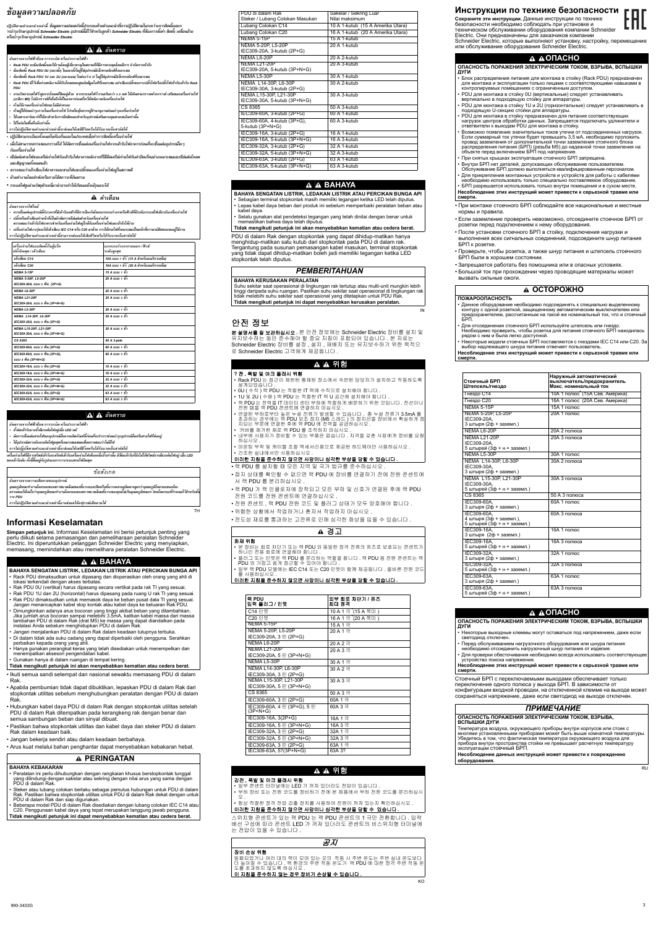#### ข้อมูลความปลอดภัย **o**

ปฏิบัติตามคำแนะนำเหล่านี้. ข้อมูลความปลอดภัยนี้ประกอบด้วยคำแนะนำที่ควรปฏิบัติตามในระหว่างการติดตั้งและก ำรบำรุงรักษาอุปกรณ์ Schneider Electric อุปกรณ์นี้มีไว้สำหรับลูกค้า Schneider Electric ที่ต้องการตั้งค่า ติดตั้ง เคลื่อนย้าย **®¦°º µ¦Î ¦» ¬µ° ´ »¦r Schneider Electric** 

**• ·´µ¤¦³Á · ¥ ¸ ®¤Ä ´Ê ° o ¨³Ä¦³Á«Á¤ ·É °Éº µµ¦ Î · Á¦ ´Ê ° ɺ µ¥Å¢ n**

- เมื่อไม่สามารถตรวจสอบกราวด์ได้ ให้ตัดการเชื่อมต่อเครื่องจ่ายไฟจากเต้ารับไฟอาคารก่อนที่จะเชื่อมต่ออุปกรณ์ใด ๆ **Á¦ ´ ° ɺ µ¥Å¢ n**
- ่ เชื่อ่มต่อสายไฟของเครือ่งจ่ายไฟกับเต้ารับไฟอาคารหลังจากที่ใต้ยึดเครือ่งจ่ายไฟกับฝาปิดแร็คอย่างเหมาะสมและเชื่อ่มต่อโหลด  $\mu$ ละสัญญาณทั้งหมดแล้ว
- ตรวจสอบว่าเต้าเสียบไฟอาคารและสายไฟและปลั๊กของเครื่องจ่ายไฟอยู่ในสภาพดี
- **• ®µ¤ o µµÃ¥¨ Î µ¡Î ®¦ ´ °£µ¥Ä º £µª³ o °É¸¦µ¥ ´**

เครื่องจ่ายไฟที่มีการสวิตช์เต้ารับจะสวิตช์เต้ารับเครื่องจ่ายไฟเพียงหนึ่งขั้วเท่านั้น ขัวต่อเต้ารับที่ยังไม่ได้สวิตช์อาจมีแรงดันไฟอยู่ เมื่อ LED **°Áµ¦o ´ ´ ´Ê ʸ°¥ ʹ ¼n ¦´ µ¦ªµ¦³µ¥Å¢° ¼ ¡· »**

• **¦³ÂÅ¢¼ µª n ´ »ªÁ® ´ ɸ¥ªÎµ°µµÄ® Î Áo ¨Ů¤ · ¦o¦Å » o**

#### **∆** คำเตือน

- **°¦µ¥µÅ¢¢ ´ oµ°p µ¦¦³Á· ®¦º°¦³µ¥Å¢¢oµ**
- Rack PDU จะต้องติดตั้งและใช้งานโดยผู้เชี่ยวชาญในสถานที่ที่มีการควบคุมโดยมีการ จำกัดการเข้าถึง
- **• ° o · ´Ê Rack PDU 0U (ª´Ê) ĪÄ ´Ê ļo °n »¦r°Á¨· ¦° È ·r Á®¤µ³¤ ɸ**
- ต้องติดตั้ง Rack PDU 1U และ 2U (แนวนอน) ในช่องว่าง U ในตู้ใส่อุปกรณ์อิเล็กทรอนิกส์ที่เหมาะสม
- Rack PDU มีไว้เพื่อจ่ายพลังงานให้กับโหลดของศูนย์ขอ้มูลไอทีที่เหมาะสม อย่าเสียบปลั๊กของรางปลั๊กไฟหรือปลั๊กไฟเข้ากับเต้ารับ Rack **PDU**
- อาจเกิดกระแสไฟรั่วสูงจากโหลดที่ติดอยู่ด้วย หากกระแสไฟรั่วรวมเกินกว่า 3.5 mA ให้เดินสายกราวดซ์ากกราวด์ เสริมของเครื่องจ่ายไฟ (เกลียว M5) ไปยังกราวด์ที่เชื่อถือได้ในอาคารก่อนที่จะให้พลังงานกับเครื่องจ่ายไฟ
- **• ®µ¤Ä o µÁ¦ o ɰ º µ¥Å¢³Å¤ n ¤n µ¦° ¸**
- **• ®µ¤ o ļo on°¤µ¦Î »£µ¥ÄÁ¦É° º µ¥Å¢ n æĮŗ¨µ¦ »o ¼oµµµ Î °¤ n µ¦Î »Á¦É° º µ¥Å¢ n**
- ี ใช้เฉพาะฮาร์ดแวร์ที่ให้มาสำหรับการยึดติดและสำหรับอุปกรณ์เสริมควบคุมสายเคเบิลเท่านั้น
- **• ÄĦ o ¤Ä¡ n ʺ ®ɸ Áo µn ´Ê** การไม่ปฏิบัติตามคำแนะนำเหล่านี้จะส่งผลให้เสยีชีวิตหรือได้รับบาดเจ็บสาหัสได้

TH

- 본 장비는 회로 차단기 또는 랙 PDU 와 동일한 정격 전류의 퓨즈로 보호되는 콘센트기 하나인 전용 회로에 연결해야 합니다.
- 플러그 또는 인렛은 랙 PDU 를 분리하는 역할을 합니다. 랙 PDU 용 전원 콘센트는 릭 PDU 와 가깝고 쉽게 접근할 수 있어야 합니다
- 일부 랙 PDU 모델에는 IEC C14 또는 C20 인렛이 함께 제공됩니다. 올바른 전원 코드 릌 사용하십시오

### 이러한 지침을 준수하지 않으면 사망이나 심각한 부상을 당할 수 있습니다

# **Informasi Keselamatan**

**Simpan petunjuk ini.** Informasi Keselamatan ini berisi petunjuk penting yang perlu diikuti selama pemasangan dan pemeliharaan peralatan Schneider Electric. Ini diperuntukkan pelanggan Schneider Electric yang menyiapkan, memasang, memindahkan atau memelihara peralatan Schneider Electric.

- ควรเชื่อมต่ออปกรณ์นี้กับวงจรที่มีเต้ารับเดยีวที่มีการป้องกันโดยเบรกเกอร์วงจรหรือฟิวส์ที่มีระดับกระแสไฟเดียวกับเครื่องจ่ายไฟ
- ปลั๊กหรือเต้าเสียบทำหน้าที่เป็นตัวตัดการเชื่อมต่อสำหรับเครื่องจ่ายไฟ<br>ตรวจสอบว่าเต้ารับไฟอาคารสำหรับเครื่องจ่ายไฟอยู่ใกล้กับเครื่องจ่ายไฟและเข้าถึงได้ง่าย
- เครื่องจ่ายไฟบางรุ่นจะให้เต้าเสียบ IEC C14 หรือ C20 มาด้วย การใช้สายไฟที่เหมาะสมเป็นหน้าที่ความรบัผิดชอบของผู้ใช้งาน **µ¦Å¤n·´·µ¤µÂ³ Î εÁ®¨nµ¸Êµ¤µ¦n¨Ä®oÁ¸¥¸ª·®¦º°Åo¦µÁ ´ µ® È Å ´ o**

#### **°¦µ¥ ´**

**°»®£¼¤³ · µµÃ¥¦°°£µ¡Âª¨ Î °¤° o ªµÂ ´Ê ·®¦°º ªµ®¨µ¥¥ ´Ê ¼·°µª ¼ µ°n »®£¤¼Ã¥¦°°® · °o** อุเมษานั้นเมือว่าอุณหภูมิขณะทำงานโดยรอบของสภาพแวดล้อมชั้นวางของคุณไม่เกินอุณหภูมิขณะทางทนโดยรอบที่กำหนดไว้สำหรับชั้

**°¦µ¥µÅ¢Å®¤ ´ o**

- Rack PDU dimaksudkan untuk dipasang dan dioperasikan oleh orang yang ahli di lokasi terkendali dengan akses terbatas.
- Rak PDU 0U (vertikal) harus dipasang secara vertikal pada rak TI yang sesuai.
- Rak PDU 1U dan 2U (horizontal) harus dipasang pada ruang U rak TI yang sesuai. • Rak PDU dimaksudkan untuk memasok daya ke beban pusat data TI yang sesuai.
- Jangan menancapkan kabel stop kontak atau kabel daya ke keluaran Rak PDU.
- Dimungkinkan adanya arus bocoran yang tinggi akibat beban yang ditambahkan. Jika jumlah arus bocoran sampai melebihi 3.5mA, kaitkan kabel massa dari massa tambahan PDU di dalam Rak (drat M5) ke massa yang dapat diandalkan pada instalasi Anda sebelum menghidupkan PDU di dalam Rak.
- Jangan menjalankan PDU di dalam Rak dalam keadaan tutupnya terbuka.
- Di dalam tidak ada suku cadang yang dapat diperbaiki oleh pengguna. Serahkan perbaikan kepada orang yang ahli.
- Hanya gunakan perangkat keras yang telah disediakan untuk menempelkan dan menempatkan aksesori pengendalian kabel.
- Gunakan hanya di dalam ruangan di tempat kering.
- **Tidak mengikuti petunjuk ini akan menyebabkan kematian atau cedera berat.**
- Ikuti semua sandi setempat dan nasional sewaktu memasang PDU di dalam Rak.
- Apabila pembumian tidak dapat dibuktikan, lepaskan PDU di dalam Rak dari stopkontak utilitas sebelum menghubungkan peralatan dengan PDU di dalam Rak.
- Hubungkan kabel daya PDU di dalam Rak dengan stopkontak utilitas setelah PDU di dalam Rak ditempatkan pada kerangkeng rak dengan benar dan semua sambungan beban dan sinyal dibuat.
- Pastikan bahwa stopkontak utilitas dan kabel daya dan steker PDU di dalam Rak dalam keadaan baik.
- Jangan bekerja sendiri atau dalam keadaan berbahaya.
- Arus kuat melalui bahan penghantar dapat menyebabkan kebakaran hebat.

| เครื่องจ่ายไฟแบบติดตั้งในตู้แร็ค | เบรกเกอร์วงจรภายนอก / ฟิวส์                |
|----------------------------------|--------------------------------------------|
| ปลั๊กอินพุต / เต้าเสียบ          | ระดับสูงสุด                                |
| เต้าเสียบ C14                    | 10A แบบ 1 ขั้ว (15 A สำหรับอเมริกาเหนือ)   |
| เต้าเสียบ C20                    | 16A แบบ 1 ขั้ว ๋ (20 A สำหรับอเมริกาเหนือ) |
| <b>NEMA 5-15P</b>                | 15 A แบบ 1 ขั้ว                            |
| NEMA 5-20P, L5-20P               | 20 A แบบ 1 ขั้ว                            |
| IEC309-20A, แบบ 3 พิน (2P+G)     |                                            |
| NEMA L6-20P                      | 20 A แบบ 2 ขั้ว                            |
| <b>NEMA L21-20P</b>              | 20 A แบบ 3 ขั้ว                            |
| IEC309-20A, แบบ 5 พิน (3P+N+G)   |                                            |
| NEMA L5-30P                      | 30 A แบบ 1 ขั้ว                            |
| NEMA L14-30P, L6-30P             | 30 A แบบ 2 ขั้ว                            |
| IEC309-30A, แบบ 3 พิน (2P+G)     |                                            |
| NEMA L15-30P, L21-30P            | 30 A แบบ 3 ขั้ว                            |
| IEC309-30A, แบบ 5 พิน (3P+N+G)   |                                            |
| CS 8365                          | 50 A 3-pole                                |
| IEC309-60A, แบบ 3 พิน (2P+G)     | 60 A แบบ 1 ขั้ว                            |
| IEC309-60A, แบบ 4 พิน (3P+G),    | 60 A แบบ 3 ขั้ว                            |
| แบบ 5 พิน (3P+N+G)               |                                            |
| IEC309-16A, แบบ 3 พิน (2P+G)     | 16 A แบบ 1 ขั้ว                            |
| IEC309-16A, แบบ 5 พิน (3P+N+G)   | 16 A แบบ <i>3</i> ขั้ว                     |
| IEC309-32A, แบบ 3 พิน (2P+G)     | 32 A แบบ 1 ขัว                             |
| IEC309-32A, แบบ 5 พิน (3P+N+G)   | 32 A แบบ <i>3 ขั้</i> ว                    |
| IEC309-63A, แบบ 3 พิน (2P+G)     | 63 A แบบ 1 ขั้ว                            |
| IEC309-63A, แบบ 5 พิน (3P+N+G)   | 63 A แบบ <i>3</i> ขั้ว                     |

#### **A** อันตราย

- **อันตรายจากไฟฟ้าช๊อต การระเบิด หรือประกายไฟฟ้า**
- **• ª´Ê n°Áµ¦o µ ´ ª¤´Ê ¦ ¸ Å¢°¥ ´ Á¤¼n ɰº LED ŗ´**
- ตัดการเชื่อมต่อสายไฟของอุปกรณ์อื่นจากผลิตภัณฑ์นี้ก่อนที่จะทำการซ่อมบำรุงอุปกรณ์อื่นหรือสายไฟที่ต่ออยู่
- ${}^{\hat{a}}$ ช้อุปกรณ์ตรวจจับแรงดันไฟสูงสุดที่เหมาะสมเสมอเพื่อตรวจสอบว่าไม่มีไฟ
- การไม่ปฏิบัติตามคำแนะนำเหล่านี้จะส่งผลให้เสยีชีวิตหรือได้รับบาดเจ็บสาหัสได้

#### *o°Á ´*

**°¦µ¥µªµ¤Á ´ ¸¥®µ¥°°¦ » r**

**ªµ PDU µ¦Å¤n·´·µ¤µÂ³ Î εÁ®¨nµ¸Ê°µn¨Ä®o°ŗ¦» rÁ¸¥®µ¥Åo**

# **BAHAYA**

### **BAHAYA SENGATAN LISTRIK, LEDAKAN LISTRIK ATAU PERCIKAN BUNGA API**

- **ɈɉȺɋɇɈɋɌɖ ɉɈɊȺɀȿɇɂə ɗɅȿɄɌɊɂɑȿɋɄɂɆ ɌɈɄɈɆ, ȼɁɊɕȼȺ, ȼɋɉɕɒɄɂ ДУГИ**
- Блок распределения питания для монтажа в стойку (Rack PDU) предназначен для монтажа и эксплуатации только лицами с соответствующими навыками в контролируемых помещениях с ограниченным доступом.
	- PDU для монтажа в стойку 0U (вертикальные) следует устанавливать вертикально в подходящую стойку для аппаратуры.
	- $\cdot$  PDU для монтажа в стойку 1U и 2U (горизонтальные) следует устанавливать в подходящую U-секцию стойки для аппаратуры.
	- РDU для монтажа в стойку предназначен для питания соответствующих нагрузок центров обработки данных. Запрещается подключать удлинители и ответвители к выходам PDU для монтажа в стойку.
- Возможно появление значительных токов утечки от подсоединенных нагрузок. Если суммарный ток утечки будет превышать 3,5 мА, необходимо проложить провод заземления от дополнительной точки заземления стоечного блока превед саветности е преподнительность на саветности с совможно алексевное висте **распределения интения (2) 17 (ресвее низ) де наряд**объекте перед включением БРП под напряжение.
- При снятых крышках эксплуатация стоечного БРП запрещена.
- Внутри БРП нет деталей, допускающих обслуживание пользователем. Обслуживание БРП должно выполняться квалифицированным персоналом.
- Для прикрепления монтажных устройств и устройств для работы с кабелями
- необходимо использовать только специально поставляемое оборудование. БРП разрешается использовать только внутри помещения и в сухом месте.

#### Несоблюдение этих инструкций может привести к серьезной травме или **смерти.**

- При монтаже стоечного БРП соблюдайте все национальные и местные нормы и правила.
- Если заземление проверить невозможно, отсоедините стоечное БРП от розетки перед подключением к нему оборудования.
- После установки стоечного БРП в стойку, подключения нагрузки и выполнения всех сигнальных соединений, подсоедините шнур питания  $EPT$  к розетке
- Проверьте, чтобы розетка, а также шнур питания и штепсель стоечного БРП были в хорошем состоянии.
- Запрешается работать без помошника или в опасных условиях.
- Большой ток при прохождении через проводящие материалы может вызвать сильные ожоги.

### **A OCTOPOXHO**

#### ПОЖАРООПАСНОСТЬ

• Данное оборудование необходимо подсоединять к специально выделенному контуру с одной розеткой, защищенному автоматическим выключателем или предохранителем, рассчитанным на такой же номинальный ток, что и стоечный БРП.

- Для отсоединения стоечного БРП используйте штепсель или гнездо.
- Необходимо проверить, чтобы розетка для питания стоечного БРП находилась рядом с ним и была легко доступной.
- Некоторые модели стоечных БРП поставляются с гнездами IEC C14 или C20. За выбор надлежащего шнура питания отвечает пользователь

Несоблюдение этих инструкций может привести к серьезной травме или смерти.

# **PERINGATAN**

#### **BAHAYA KEBAKARAN**

- Peralatan ini perlu dihubungkan dengan rangkaian khusus berstopkontak tunggal yang dilindungi dengan sakelar atau sekring dengan nilai arus yang sama dengan PDU di dalam Rak.
- Steker atau lubang colokan berlaku sebagai pemutus hubungan untuk PDU di dalam Rak. Pastikan bahwa stopkontak utilitas untuk PDU di dalam Rak dekat dengan untuk PDU di dalam Rak dan siap digunakan.
- Beberapa model PDU di dalam Rak disediakan dengan lubang colokan IEC C14 atau C20. Penggunaan kabel daya yang tepat merupakan tanggung jawab pengguna. **Tidak mengikuti petunjuk ini dapat menyebabkan kematian atau cedera berat.**
- 전원 콘센트, 랙 PDU 전원 코드 및 플러그 상태가 모두 양호해야 합니다.
- 위험한 상황에서 작업하거나 혼자서 작업하지 마십시오
- 전도성 재료를 통과하는 고전류로 인해 심각한 화상을 입을 수 있습니다.

# ▲경고

### 화재 위험

PDU di dalam Rak dengan stopkontak yang dapat dihidup-matikan hanya menghidup-matikan satu kutub dari stopkontak pada PDU di dalam rak. Tergantung pada susunan pemasangan kabel masukan, terminal stopkontak yang tidak dapat dihidup-matikan boleh jadi memiliki tegangan ketika LED stopkontak telah diputus.

IN

# 안전 정보

본 설명서를 잘 보관하십시오. 본 안전 정보에는 Schneider Electric 장비를 설치 및 유지보수하는 동안 준수해야 할 중요 지침이 포함되어 있습니다. 본 자료는 Schneider Electric 장비를 설정, 설치, 재배치 또는 유지보수하기 위한 목적으 로 Schneider Electric 고객에게 제공됩니다.

### $\blacktriangle$   $\blacktriangle$  위험

#### **ɈɉȺɋɇɈɋɌɖ ɉɈɊȺɀȿɇɂə ɗɅȿɄɌɊɂɑȿɋɄɂɆ ɌɈɄɈɆ, ȼɁɊɕȼȺ,**  ВСПЫШКИ ДУГИ

Температура воздуха, окружающего приборы внутри корпусов или стоек с многими установленными приборами может быть выше комнатной температуры. Убедитесь в том, что фактическая температура окружающего воздуха для прибора внутри пространства стойки не превышает расчетную температуру эксплуатации стоечный БРП.

#### Несоблюдение данных инструкций может привести к повреждению  $66$ орудования.

KO

# **A AONACHO**

| PDU di dalam Rak<br>Steker / Lubang Colokan Masukan   | Sakelar / Sekring Luar<br>Nilai maksimum |
|-------------------------------------------------------|------------------------------------------|
| Lubang Colokan C14                                    | 10 A 1-kutub (15 A Amerika Utara)        |
| Lubang Colokan C20                                    | 16 A 1-kutub (20 A Amerika Utara)        |
| <b>NFMA 5-15P</b>                                     | 15 A 1-kutub                             |
| NEMA 5-20P, L5-20P<br>IEC309-20A, 3-kutub (2P+G)      | 20 A 1-kutub                             |
| NEMA L6-20P                                           | 20 A 2-kutub                             |
| <b>NEMA L21-20P</b><br>IEC309-20A, 5-kutub (3P+N+G)   | 20 A 3-kutub                             |
| NEMA L5-30P                                           | 30 A 1-kutub                             |
| NEMA L14-30P, L6-30P<br>IEC309-30A, 3-kutub (2P+G)    | $30A2$ -kutub                            |
| NEMA L15-30P, L21-30P<br>IEC309-30A, 5-kutub (3P+N+G) | 30 A 3-kutub                             |
| C.S. 8365                                             | 50 A 3-kutub                             |
| IEC309-60A, 3-kutub (2P+G)                            | 60 A 1-kutub                             |
| IEC309-60A, 4-kutub (3P+G),<br>5-kutub (3P+N+G)       | 60 A 3-kutub                             |
| IEC309-16A, 3-kutub (2P+G)                            | 16 A 1-kutub                             |
| IEC309-16A, 5-kutub (3P+N+G)                          | 16 A 3-kutub                             |
| IEC309-32A, 3-kutub (2P+G)                            | 32 A 1-kutub                             |
| IEC309-32A, 5-kutub (3P+N+G)                          | 32 A 3-kutub                             |
| IEC309-63A, 3-kutub (2P+G)                            | 63 A 1-kutub                             |
| IEC309-63A, 5-kutub (3P+N+G)                          | 63 A 3-kutub                             |

#### **BAHAYA**

**BAHAYA SENGATAN LISTRIK, LEDAKAN LISTRIK ATAU PERCIKAN BUNGA API**

- Sebagian terminal stopkontak masih memiliki tegangan ketika LED telah diputus. • Lepas kabel daya beban dari produk ini sebelum memperbaiki peralatan beban atau kabel daya.
- Selalu gunakan alat pendeteksi tegangan yang telah dinilai dengan benar untuk memastikan bahwa daya telah diputus.

**Tidak mengikuti petunjuk ini akan menyebabkan kematian atau cedera berat.**

#### *PEMBERITAHUAN*

#### **BAHAYA KERUSAKAN PERALATAN**

Suhu sekitar saat operasional di lingkungan rak tertutup atau multi-unit mungkin lebih tinggi daripada suhu ruangan. Pastikan suhu sekitar saat operasional di lingkungan rak tidak melebihi suhu sekitar saat operasional yang ditetapkan untuk PDU Rak. **Tidak mengikuti petunjuk ini dapat menyebabkan kerusakan peralatan.**

#### **?** 㤸 **,** 䔡ⵐ ⵃ 㙸䆠 䙀⣌㐐 㠸䜌

- Rack PDU 는 접근이 제한된 통제된 장소에서 숙련된 담당자가 설치하고 작동하도록 설계되었습니다.
- · 0U ( 수직 ) 랙 PDU 는 적합한 IT 랙에 수직으로 설치해야 합니다
- 1U 및 2U ( 수평 ) 랙 PDU 는 적절한 IT 랙 U 공간에 설치해야 합니다.
- 랙 PDU 는 전력을 IT 데이터 센터 부하에 적절하게 배분하기 위한 것입니다. 전선이나 전원 탭을 랙 PDU 콘센트에 연결하지 마십시오.
- 연결된 부하로부터 높은 누설 전류가 발생할 수 있습니다 . 총 누설 전류가 3.5mA 를 초과하는 경우에는 랙 PDU 보조 접지 (M5 스레드 ) 의 접지선을 장비에서 확실하게 접 지되는 부분에 연결한 후에 랙 PDU 에`전력을 공급하십시오 .
- 커버를 제거한 채로 랙 PDU 를 조작하지 마십시오.
- 내부에 사용자가 정비할 수 있는 부품은 없습니다 . 자격을 갖춘 사람에게 정비를 요청
- 하십시오 마운팅 부착 및 케이블 조절 액세서리용으로 제공된 하드웨어만 사용하십시오.
- 건조한 실내에서만 사용하십시오

#### 이러한 지침을 준수하지 않으면 사망이나 심각한 부상을 당할 수 있습니다

- 랙 PDU 를 설치할 때 모든 지역 및 국가 법규를 준수하십시오.
- 접지 상태를 확인할 수 없으면 랙 PDU 에 장비를 연결하기 전에 전원 콘센트에 서 랙 **PDU** 를 분리하십시오 .
- 랙 PDU 가 랙 인클로저에 장착되고 모든 부하 및 신호가 연결된 후에 랙 PDU 전원 코드를 전원 콘센트에 연결하십시오 .

# Инструкции по технике безопасности

Сохраните эти инструкции. Данные инструкции по технике безопасности необходимо соблюдать при установке и техническом обслуживании оборудования компании Schneider Electric. Они предназначены для заказчиков компании

Schneider Electric, которые выполняют установку, настройку, перемещение или обслуживание оборудования Schneider Electric.

### **A AONACHO**

| 랙 PDU<br>입력 플러그 / 인렛                      | 외부 회로 차단기 / 퓨즈<br>최대 정격 |
|-------------------------------------------|-------------------------|
| C14 인렛                                    | 10 A 1 극 (15 A 북미 )     |
| C20 인렛                                    | 16 A 1 극 (20 A 북미)      |
| <b>NEMA 5-15P</b>                         | 15 A 1 $\exists$        |
| NEMA 5-20P, L5-20P                        | 20 A 1 극                |
| IEC309-20A, 3 핀 (2P+G)                    |                         |
| NEMA L6-20P                               | 20 A 2 극                |
| <b>NEMA L21-20P</b>                       | 20 A 3 $\equiv$         |
| IEC309-20A, 5 핀 (3P+N+G)                  |                         |
| NEMA L5-30P                               | $30 A1 \equiv$          |
| NEMA L14-30P, L6-30P                      | 30 A 2 $\equiv$         |
| IEC309-30A, 3 핀 (2P+G)                    |                         |
| NEMA L15-30P, L21-30P                     | $30 A3 \equiv$          |
| IEC309-30A, 5 핀 (3P+N+G)                  |                         |
| CS 8365                                   | 50 A 3 $\equiv$         |
| IEC309-60A, 3 핀 (2P+G)                    | 60A 1 극                 |
| IEC309-60A, 4 핀 (3P+G), 5 핀<br>$(3P+N+G)$ | 60A 3 $\equiv$          |
| IEC309-16A, 3(2P+G)                       | 16A 1 극                 |
| IEC309-16A, 5 핀 (3P+N+G)                  | 16A 3 극                 |
| IEC309-32A, 3 핀 (2P+G)                    | 32A 1 극                 |
| IEC309-32A, 5 핀 (3P+N+G)                  | 32A 3 극                 |
| IEC309-63A, 3 핀 (2P+G)                    | 63A 1 극                 |
| IEC309-63A, 5?(3P+N+G)                    | 63A 3?                  |

### $\blacksquare$   $\blacksquare$  위험

### 감 전, 폭발 및 아크 플래시 위험

- 일부 콘센트 터미널에는 LED 가 꺼져 있더라도 전압이 있습니다.
- 부하 장비 또는 전원 코드를 정비하기 전에 본 제품에서 부하 전원 코드를 분리하십시 .<br>?
- 항상 적절한 정격 전압 검출 장치를 사용하여 전원이 꺼져 있는지 확인하십시오. <u>이러한 지침을 준수하지 않으면 사망이나 심각한 부상을 당할 수 있습니다.</u>
- 스위치형 콘센트가 있는 랙 PDU 는 랙 PDU 콘센트의 1 극만 전환합니다. 입력 배선 구성에 따라 콘센트 LED 가 꺼져 있더라도 콘센트의 비스위치형 터미널에 는 전압이 있을 수 있습니다.

| 공지                                                                                                                                      |
|-----------------------------------------------------------------------------------------------------------------------------------------|
| 장비 손상 위험<br>밀폐되었거나 여러 대의 랙이 모여 있는 곳의 작동 시 주변 온도는 주변 실내 온도보다<br>더 높아질 수 있습니다 . 랙 환경의 주변 작동 온도가 랙 PDU 에 대한 정격 주변 작동 온<br>도를 초과하지 않도록 하십시오 |
| 이 지침을 준수하지 않는 경우 장비가 손상될 수 있습니다 .                                                                                                       |

RU

| Стоечный БРП<br>Штепсель/гнездо                                       | Наружный автоматический<br>выключатель/предохранитель<br>Макс, номинальный ток |
|-----------------------------------------------------------------------|--------------------------------------------------------------------------------|
| Гнездо С14                                                            | 10А 1 полюс (15А Сев. Америка)                                                 |
| Гнездо С20                                                            | 16А 1 полюс (20А Сев. Америка)                                                 |
| <b>NEMA 5-15P</b>                                                     | <b>15А 1 полюс</b>                                                             |
| NEMA 5-20P. L5-20P<br>IEC309-20A,<br>3 штыря (2ф + заземл.)           | 20А 1 полюс                                                                    |
| NEMA L6-20P                                                           | 20А 2 полюса                                                                   |
| <b>NEMA L21-20P</b><br>IEC309-20A.<br>5 штырей (3ф + н + заземл.)     | 20А 3 полюса                                                                   |
| NEMA L5-30P                                                           | <b>30A 1 полюс</b>                                                             |
| NEMA L14-30P, L6-30P<br>IEC309-30A,<br>3 штыря (2ф + заземл.)         | 30A 2 полюса                                                                   |
| NEMA L15-30P, L21-30P<br>IEC309-30A.<br>5 штырей (3ф + н + заземл.)   | <b>30A 3 полюса</b>                                                            |
| CS 8365                                                               | 50 А 3 полюса                                                                  |
| IEC309-60A.<br>3 штыря (2ф + заземл.)                                 | 60A 1 полюс                                                                    |
| IEC309-60A.<br>4 штыря (3ф + заземл.),<br>5 штырей (3ф + н + заземл.) | 60А 3 полюса                                                                   |
| IEC309-16A.<br>3 штыря (2ф + заземл.)                                 | 16А 1 полюс                                                                    |
| IEC309-16A.<br>5 штырей (3ф + н + заземл.)                            | 16А 3 полюса                                                                   |
| IEC309-32A.<br>3 штыря (2ф + заземл.)                                 | 32A 1 полюс                                                                    |
| IEC309-32A,<br>5 штырей (3ф + н + заземл.)                            | 32A 3 полюса                                                                   |
| IEC309-63A,<br>3 штыря (2ф + заземл.)                                 | 63А 1 полюс                                                                    |
| IEC309-63A.<br>5 штырей (3ф + н + заземл.)                            | 63А 3 полюса                                                                   |

**ɈɉȺɋɇɈɋɌɖ ɉɈɊȺɀȿɇɂə ɗɅȿɄɌɊɂɑȿɋɄɂɆ ɌɈɄɈɆ, ȼɁɊɕȼȺ, ȼɋɉɕɒɄɂ ȾɍȽɂ**

- Некоторые выходные клеммы могут оставаться под напряжением, даже если светодиод отключен.
- Перед обслуживанием нагрузочного оборудования или шнура питания необходимо отсоединить нагрузочный шнур питания от изделия.
- $\cdot$  Для проверки обесточивания необходимо всегда использовать соответствующее устройство поиска напряжения.
- Несоблюдение этих инструкций может привести к серьезной травме или смерти.

Стоечный БРП с переключаемыми выходами обеспечивает только переключение одного полюса у выхода БРП. В зависимости от конфигурации входной проводки, на отключенной клемме на выходе может сохраняться напряжение, даже если светодиод на выходе отключен.

### ПРИМЕЧАНИЕ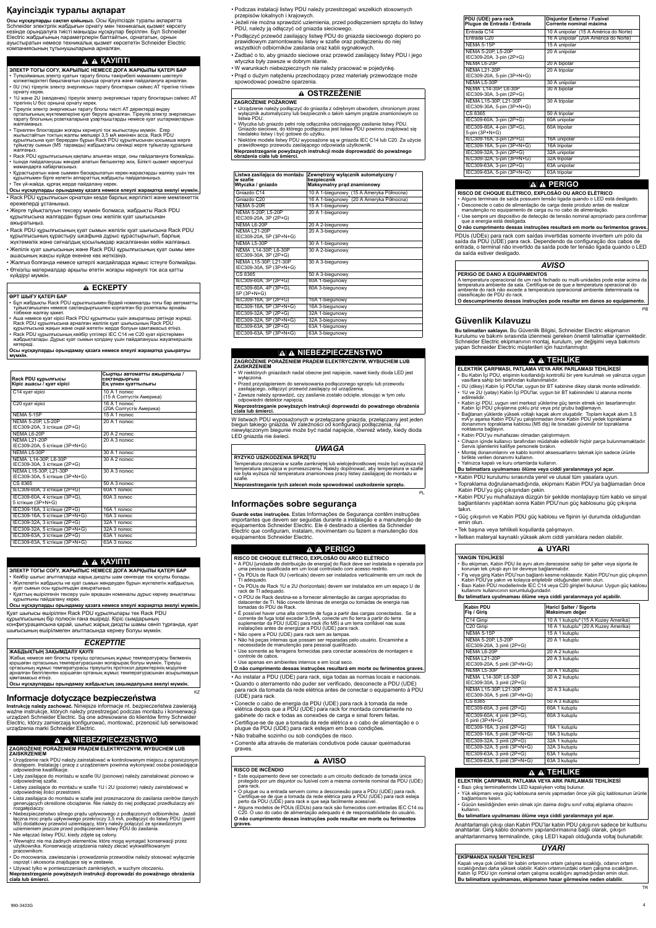# **Ԕɚɭɿɩɫɿɡɞɿɤ ɬɭɪɚɥɵ ɚԕɩɚɪɚɬ**

Осы нұсқауларды сақтап қойыңыз. Осы Қауіпсіздік туралы ақпаратта Schneider электрлік жабдығын орнату мен техникалық қызмет көрсету кезінде орындалуға тиісті маңызды нускаулар берілген. Бул Schneider Electric жабдығының параметрлерін баптайтын, орнататын, орнын ауыстыратын немесе техникалық қызмет көрсететін Schneider Electric компаниясының тұтынушыларына арналған.

### **A A KAYITTI**

- **ЭЛЕКТР ТОГЫ СОҒУ, ЖАРЫЛЫС НЕМЕСЕ ДОҒА ЖАРҚЫЛЫ ҚАТЕРІ БАР**  $\cdot$ Түпкойманын электр куатын тарату блогы тәжірибелі маманмен шектеулі
- колжетімдіктегі бақыланатын орында орнатуға және пайдалануға арналған. 0U (тік) тіреулік электр энергиясын тарату блоктарын сәйкес АТ тірегіне тігінен орнату керек.
- 1U және 2U (көлденең) тіреулік электр энергиясын тарату блоктарын сәйкес AT тірегінің U бос орнына орнату керек.
- Тіреулік электр энергиясын тарату блогы тиісті АТ деректерді өңдеу in extensive with the magnitude of the street with the street of process the street with the control of the ori тарату блогының розеткаларына ұзартқыштарды немесе қуат үштармақтарын жалғамаңыз.
- Тіркелген блоктардан жоғары кернеулі ток жылыстауы мүмкін. Егер жылыстайтын токтың жалпы мөлшері 3,5 мА мәнінен асса, Rack PDU құрылғысына қуат берерден бұрын Rack PDU құрылғысынан қосымша жерге тұйықтау сымын (М5 тарамды) жабдықтағы сеңімді жерге тұйықтау құралына жалғаңыз.
- Rack PDU құрылғысының қақпағы алынған кезде, оны пайдалануға болмайды.
- Ішінде пайдаланушы жөндей алатын бөлшектер жоқ. Білікті қызмет көрсетуші мамандарға хабарласыныз.
- Құрастыратын және сыммен басқарылатын керек-жарақтарды жалғау үшін тек құрылғымен бірге келетін аппараттық жабдықты пайдаланыңыз.
- Тек үй-жайда, құрғақ жерде пайдалану керек.
- Rack PDU құрылғысын орнатқан кезде барлық жергілікті және мемлекеттік Осы нұсқауларды орындамау қазаға немесе елеулі жарақатқа әкелуі мүмкін.
- ережелерді ұстаныңыз. • Жерге тұйықталуын тексеру мүмкін болмаса, жабдықты Rack PDU құрылғысына жалғардан бұрын оны желілік қуат шығысынан ажыратыңыз.
- Rack PDU құрылғысының қуат сымын желілік қуат шығысына Rack PDU құрылғысының құрастыру шкафына дұрыс құрастырылып, барлық жүктемелік және сигналдық қосылымдар жасалғаннан кейін жалғаңыз.
- Желілік қуат шығысының және Rack PDU құрылғысының қуат сымы мен ашасының жақсы күйде екеніне көз жеткізіңіз.
- Жалғыз болғанда немесе қатерлі жағдайларда жұмыс істеуге болмайды.
- Өткізгіш материалдар арқылы өтетін жоғары кернеулі ток аса қатты күйдіруі мүмкін.

### **A ECKEPTY**

#### **ӨРТ ШЫҒУ КАТЕРІ БАР**

- Бұл жабдықты Rack PDU құрылғысымен бірдей номиналды тоғы бар автоматты тұйықтағышпен немесе сақтандырғышпен қорғалған бір розеткалы арнайы тізбекке жалғау кажет.
- Аша немесе қуат кірісі Rack PDU құрылғысы үшін ажыратқыш ретінде жүреді. Rack PDU құрылғысына арналған желілік қуат шығысының Rack PDU құрылғысына жақын және оңай жететін жерде болуын қамтамасыз етіңіз.
- Rack PDU құрылғысының кейбір үлгілері IEC C14 не C20 қуат кірістерімен жабдықталады. Дұрыс қуат сымын қолдану үшін пайдаланушы жауапкершілік көтереді

**Instrukcję należy zachować. Niniejsze informacje nt. bezpieczeństwa zawierają** ważne instrukcje, których należy przestrzegać podczas montażu i konserwacji urządzeń Schneider Electric. Są one adresowane do klientów firmy Schneider Electric, którzy zamierzają konfigurować, montować, przenosić lub serwisować urządzenia marki Schneider Electric.

KZ

**Осы нұсқауларды орындамау қазаға немесе елеулі жарақатқа ұшыратуы ɦԛɦɤɿɧ.**

> W listwach PDU wyposażonych w przełączane gniazda, przełączany jest jeden biegun takiego gniazda. W zależności od konfiguracji podłączenia, na niewyłączonym biegunie może być nadal napięcie, również wtedy, kiedy dioda LED gniazda nie Ğwieci.

| Rack PDU құрылғысы<br>Кіріс ашасы / қуат кірісі           | Сыртқы автоматты ажыратқыш /<br>сақтандырғыш<br>Ең үлкен қуаттылығы |
|-----------------------------------------------------------|---------------------------------------------------------------------|
| С14 қуат кірісі                                           | 10 А 1 полюс <sup>7</sup><br>(15 А Солтүстік Америка)               |
| С20 қуат кірісі                                           | 16 А 1 полюс<br>(20А Солтүстік Америка)                             |
| <b>NEMA 5-15P</b>                                         | 15 А 1 полюс                                                        |
| <b>NEMA 5-20P, L5-20P</b><br>IEC309-20A, 3 істікше (2P+G) | 20 A 1 полюс                                                        |
| NEMA L6-20P                                               | 20 A 2 полюс                                                        |
| NFMA   21-20P<br>IEC309-20A, 5 істікше (3P+N+G)           | 20A.3nonoc                                                          |
| NEMA L5-30P                                               | 30 A 1 полюс                                                        |
| NEMA L14-30P, L6-30P<br>IEC309-30A, 3 істікше (2P+G)      | 30 A 2 полюс                                                        |
| NEMA L15-30P, L21-30P<br>IEC309-30A, 5 істікше (3P+N+G)   | 30 A 3 полюс                                                        |
| CS 8365                                                   | 50 А 3 полюс                                                        |
| IEC309-60A, 3 істікше (2P+G)                              | 60А 1 полюс                                                         |
| IEC309-60A, 4 істікше (3P+G),<br>5 істікше (3P+N+G)       | 60А 3 полюс                                                         |
| IEC309-16A, 3 істікше (2P+G)                              | 16А 1 полюс                                                         |
| IEC309-16А, 5 істікше (3P+N+G)                            | 16А 3 полюс                                                         |
| IEC309-32A, 3 істікше (2P+G)                              | 32A 1 полюс                                                         |
| IEC309-32A, 5 істікше (3P+N+G)                            | 32A 3 полюс                                                         |
| IEC309-63A, 3 істікше (2P+G)                              | 63A 1 полюс                                                         |
| IEC309-63A, 5 істікше (3P+N+G)                            | 63А 3 полюс                                                         |

- Podczas instalacji listwy PDU należy przestrzegać wszelkich stosownych przepisów lokalnych i krajowych.
- Jeżeli nie można sprawdzić uziemienia, przed podłączeniem sprzętu do listwy PDU, należy ją odłączyć od gniazda sieciowego.
- Podłączyć przewód zasilający listwę PDU do gniazda sieciowego dopiero po prawidłowym zamontowaniu listwy w szafie oraz podłączeniu do niej wszystkich odbiorników zasilania oraz kabli sygnaáowych.
- Zadbać o to, aby gniazdo sieciowe oraz przewód zasilający listwy PDU i jego wtyczka były zawsze w dobrym stanie.
- W warunkach niebezpiecznych nie należy pracować w pojedynkę.
- Prąd o dużym natężeniu przechodzący przez materiały przewodzące może spowodować poważne oparzenia.

- Urządzenie należy podłączyć do gniazda z odrębnym obwodem, chronionym przez wyáącznik automatyczny lub bezpiecznik o takim samym prądzie znamionowym co listwa PDU.
- Wtyczka lub gniazdo pełni rolę odłącznika odcinającego zasilanie listwy PDU. Gniazdo sieciowe, do którego podłączona jest listwa PDU powinno znajdować się niedaleko listwy i być gotowe do użytku.
- Niektóre modele listwy PDU wyposażone są w gniazda IEC C14 lub C20. Za użycie prawidłowego przewodu zasilającego odpowiada użytkownik.
- **Nieprzestrzeganie powyĪszych instrukcji moĪe doprowadziü do powaĪnego obraĪenia ciaáa lub Ğmierci.**

### *ȿɋɄȿɊɌɉȿ*

#### ЖАБДЫҚТЫҢ ЗАҚЫМДАЛУ ҚАУПІ

Жабық немесе көп блокты тіреуіш ортасының жұмыс температурасы бөлменің қоршаған ортасының температурасынан жоғарырақ болуы мүмкін. Тіреуіш ортасының жұмыс температурасы тіреуіштің протокол деректерінің модуліне арналған белгіленген қоршаған ортаның жұмыс температурасынан асырылмауын камтамасыз етініз.

Осы нұсқауларды орындамау жабдықтың зақымдалуына әкелуі мүмкін.

# **Informacje dotyczące bezpieczeństwa**

### **NIEBEZPIECZEēSTWO**

#### **ZAGROĩENIE PORAĩENIEM PRĄDEM ELEKTRYCZNYM, WYBUCHEM LUB ZAISKRZENIEM**

- · Urządzenie rack PDU należy zainstalować w kontrolowanym miejscu z ograniczonym dostępem. Instalację i pracę z urządzeniem powinna wykonywać osoba posiadająca odpowiednie kwalifikacje.
- Listy zasilające do montażu w szafie 0U (pionowe) należy zainstalować pionowo w odpowiedniej szafie.
- Listwy zasilające do montażu w szafie 1U i 2U (poziome) należy zainstalować w odpowiedniej ilości przestrzeni.
- Lista zasilająca do montażu w szafie jest przeznaczona do zasilania centrów danych generujących określone obciążenie. Nie należy do niej podłączać przedłużaczy ani rozgałęziaczy.
- Niebezpieczeństwo silnego prądu upływowego z podłączonych odbiorników. Jeżeli łączna moc prądu upływowego przekroczy 3,5 mA, podłączyć do listwy PDU (gwint M5) dodatkowy przewód uziemiający, który należy połączyć ze sprawdzonym uziemieniem jeszcze przed podáączeniem listwy PDU do zasilania.
- Nie włączać listwy PDU, kiedy zdjęte są osłony.
- Wewnątrz nie ma żadnych elementów, które mogą wymagać konserwacji przez użytkownika. Konserwację urządzenia należy zlecać wykwalifikowanym pracownikom.
- Do mocowania, zawieszania i prowadzenia przewodów należy stosować wyłącznie osprzęt i akcesoria znajdujące się w zestawie.
- Używać tylko w pomieszczeniach zamkniętych, w suchym otoczeniu.

Temperatura otoczenia w szafie zamkniętej lub wielojednostkowej może być wyższa niż temperatura panująca w pomieszczeniu. Należy dopilnować, aby temperatura w szafie nie była wyższa niż temperatura znamionowa pracy listwy zasilającej do montażu w szafie.

**Nieprzestrzeganie tych zaleceń może spowodować uszkodzenie sprzętu.** 

- A PDU [unidade de distribuição de energia] do Rack deve ser instalada e operada por uma pessoa qualificada em um local controlado com acesso restrito.
- Os PDUs de Rack 0U (verticais) devem ser instalados verticalmente em um rack de TI adequado.
- Os PDUs de Rack 1U e 2U (horizontais) devem ser instalados em um espaço U de rack de TI adequado.
- O PDU de Rack destina-se a fornecer alimentação às cargas apropriadas do datacenter de TI. Não conecte lâminas de energia ou tomadas de energia nas tomadas do PDU de Rack.
- É possível haver uma alta corrente de fuga a partir das cargas conectadas. Se a corrente de fuga total exceder 3,5mA, conecte um fio terra a partir do terra suplementar da PDU (UDE) para rack (fio M5) a um terra confiável nas suas instalações antes de energizar a PDU (UDE) para rack.
- Não opere a PDU (UDE) para rack sem as tampas.
- Não há peças internas que possam ser reparadas pelo usuário. Encaminhe a necessidade de manutenção para pessoal qualificado.
- Use somente as ferragens fornecidas para conectar acessórios de montagem e controle de cabos.
- Use apenas em ambientes internos e em local seco.

**Nieprzestrzeganie powyĪszych instrukcji doprowadzi do powaĪnego obraĪenia ciaáa lub Ğmierci.**

PL

### **A A KAYINTI**

**ЭЛЕКТР ТОГЫ СОҒУ, ЖАРЫЛЫС НЕМЕСЕ ДОҒА ЖАРҚЫЛЫ ҚАТЕРІ БАР** 

- Кейбір шығыс ағытпаларда жарық диодты шам сөнгенде ток қосулы болады.
- $\cdot$  Жүктелетін жабдықты не қуат сымын жөндеуден бұрын жүктелетін жабдықтың қуат сымын осы құрылғыдан ажыратыңыз.
- Куаттың өшірілгенін тексеру үшін әрқашан номиналы дұрыс кернеу анықтағыш курылғыны пайдалану керек.

#### Осы нұсқауларды орындамау қазаға немесе елеулі жарақатқа әкелуі мүмкін.

Қуат шығысы өшірілген Rack PDU құрылғылары тек Rack PDU құрылғысының бір полюсін ғана өшіреді. Кіріс сымдарының конфигурациясына қарай, шығыс жарық диодты шамы сөніп тұрғанда, қуат шығысының өшірілмеген ағытпасында кернеу болуы мүмкін.

# **Informações sobre segurança**

**Guarde estas instruções.** Estas Informações de Segurança contêm instruções importantes que devem ser seguidas durante a instalação e a manutenção de equipamentos Schneider Electric. Ele é destinado a clientes da Schneider Electric que configuram, instalam, movimentam ou fazem a manutenção dos equipamentos Schneider Electric.

## **A A PERIGO**

- **ELEKTRøK ÇARPMASI, PATLAMA VEYA ARK PARLAMASI TEHLøKESø**
- Bu Kabin İçi PDU, erişimin kısıtlandığı kontrollü bir yere kurulmalı ve yalnızca uygun vasıflara sahip biri tarafından kullanılmalıdır.
- $90$  (dikey) Kabin İçi PDU'lar, uygun bir BT kabinine dikey olarak monte edilmelidir.
- 1U ve 2U (yatay) Kabin İçi PDU'lar, uygun bir BT kabinindeki U alanına monte edilmelidir.
- Kabin içi PDU, uygun veri merkezi yüklerine güç temin etmek için tasarlanmıştır. Kabin İçi PDU çıkışlarına çoklu priz veya priz grubu bağlamayın.
- Bağlanan yüklerde yüksek voltajlı kaçak akım oluşabilir. Toplam kaçak akım 3,5 mA'yı aşarsa Kabin PDU'yu çalıştırmadan önce Kabin PDU yedek topraklama donanımını topraklama kablosu (M5 diş) ile binadaki güvenilir bir topraklama
- noktasına bağlayın. · Kabin PDU'yu muhafazası olmadan çalıştırmayın.
- $\cdot$  Cihazın içinde kullanıcı tarafından müdahale edilebilir hiçbir parça bulunmamaktadır.
- Servis islemlerini kalifiye personele bırakın.  $\theta$  Montaj donanımlarını ve kablo kontrol aksesuarlarını takmak için sadece ürünle
- birlikte verilen donanımı kullanın.
- $\cdot$  Yalnızca kapalı ve kuru ortamlarda kullanın.

#### Bu talimatlara uyulmaması ölüme veya ciddi yaralanmaya yol açar.

- Kabin PDU kurulumu sırasında yerel ve ulusal tüm yasalara uyun.
- Topraklama doğrulanamadığında, ekipmanı Kabin PDU'ya bağlamadan önce Kabin PDU'yu güç çıkışından çekin.

- Ao instalar a PDU (UDE) para rack, siga todas as normas locais e nacionais.
- Quando o aterramento não puder ser verificado, desconecte a PDU (UDE) para rack da tomada da rede elétrica antes de conectar o equipamento à PDU (UDE) para rack.

• Conecte o cabo de energia da PDU (UDE) para rack à tomada da rede elétrica depois que a PDU (UDE) para rack for montada corretamente no gabinete do rack e todas as conexões de carga e sinal forem feitas.

- Certifique-se de que a tomada da rede elétrica e o cabo de alimentação e o plugue da PDU (UDE) para rack estejam em boas condições.
- Não trabalhe sozinho ou sob condições de risco.

• Corrente alta através de materiais condutivos pode causar queimaduras graves.

### **OSTRZEĩENIE**

#### **ZAGROĩENIE POĩAROWE**

Kapalı veya çok üniteli bir kabin ortamının ortam çalışma sıcaklığı, odanın ortam sıcaklığından daha yüksek olabilir. Kabin ortamınızdaki ortam çalışma sıcaklığının, Kabin Īçi PDU için nominal ortam çalışma sıcaklığını aşmadığından emin olun. **Bu talimatlara uyulmamasÕ, ekipmanÕn hasar görmesine neden olabilir.**

| Zewnętrzny wyłącznik automatyczny /<br>bezpiecznik<br>Maksymalny prąd znamionowy |
|----------------------------------------------------------------------------------|
| 10 A 1-biegunowy (15 A Ameryka Północna)                                         |
| 16 A 1-biegunowy (20 A Ameryka Północna)                                         |
| 15 A 1-biegunowy                                                                 |
| 20 A 1-biegunowy                                                                 |
| 20 A 2-biegunowy                                                                 |
| 20 A 3-biegunowy                                                                 |
| 30 A 1-biegunowy                                                                 |
| 30 A 2-biegunowy                                                                 |
| 30 A 3-biegunowy                                                                 |
| 50 A 3-biegunowy                                                                 |
| 60A 1-biegunowy                                                                  |
| 60A 3-biegunowy                                                                  |
| 16A 1-biegunowy                                                                  |
| 16A 3-biegunowy                                                                  |
| 32A 1-biegunowy                                                                  |
| 32A 3-biegunowy                                                                  |
| 63A 1-biegunowy                                                                  |
| 63A 3-biegunowy                                                                  |
|                                                                                  |

# **NIEBEZPIECZEēSTWO**

#### **ZAGROĩENIE PORAĩENIEM PRĄDEM ELEKTRYCZNYM, WYBUCHEM LUB ZAISKRZENIEM**

- W niektórych gniazdach nadal obecne jest napięcie, nawet kiedy dioda LED jest wyłączona
- Przed przystąpieniem do serwisowania podłaczonego sprzętu lub przewodu zasilającego, odłączyć przewód zasilający od urządzenia.
- Zawsze należy sprawdzić, czy zasilanie zostało odcięte, stosując w tym celu odpowiedni detektor napięcia.

#### **Nieprzestrzeganie powyĪszych instrukcji doprowadzi do powaĪnego obraĪenia ciaáa lub Ğmierci.**

### *UWAGA*

#### **RYZYKO USZKODZENIA SPRZĉTU**

#### **RISCO DE CHOQUE ELÉTRICO, EXPLOSÃO OU ARCO ELÉTRICO**

**O não cumprimento dessas instruções resultará em morte ou ferimentos graves.**

# **AVISO**

**RISCO DE INCÊNDIO**

- Este equipamento deve ser conectado a um circuito dedicado de tomada única protegido por um disjuntor ou fusível com a mesma corrente nominal da PDU (UDE) para rack.
- O plugue ou a entrada servem como a desconexão para a PDU (UDE) para rack. Certifique-se de que a tomada da rede elétrica para a PDU (UDE) para rack esteja perto da PDU (UDE) para rack e que seja facilmente acessível.
- Alguns modelos de PDUs (EDUs) para rack são fornecidos com entradas IEC C14 ou
- C20. O uso do cabo de alimentação adequado é de responsabilidade do usuário.

**O não cumprimento dessas instruções pode resultar em morte ou ferimentos graves.**

- Kabin PDU'yu muhafazaya düzgün bir şekilde montajlayıp tüm kablo ve sinyal bağlantılarını yaptıktan sonra Kabin PDU'nun güç kablosunu güç çıkışına takın.
- Güç çıkışının ve Kabin PDU güç kablosu ve fişinin iyi durumda olduğundan emin olun.
- Tek başına veya tehlikeli koşullarda çalışmayın.
- İletken materyal kaynaklı yüksek akım ciddi yanıklara neden olabilir.

PDUs (UDEs) para rack com saídas invertidas somente invertem um pólo da saída da PDU (UDE) para rack. Dependendo da configuração dos cabos de entrada, o terminal não invertido da saída pode ter tensão ligada quando o LED da saída estiver desligado.

PB

# **Güvenlik KÕlavuzu**

**Bu talimatları saklayın.** Bu Güvenlik Bilgisi, Schneider Electric ekipmanın Lu Lillinging ve bakımı sırasında izlenmesi gereken önemli talimatlar içermektedir. Schneider Electric ekipmanının montaj, kurulum, yer değişimi veya bakımını yapan Schneider Electric müşterileri için hazırlanmıştır.

# *A* **A** TEHLİKE

TR

| PDU (UDE) para rack<br>Plugue de Entrada / Entrada    | Disjuntor Externo / Fusível<br>Corrente nominal máxima |
|-------------------------------------------------------|--------------------------------------------------------|
| Entrada C14                                           | 10 A unipolar (15 A América do Norte)                  |
| Entrada C20                                           | 16 A unipolar <sup>o</sup> (20A América do Norte)      |
| <b>NEMA 5-15P</b>                                     | 15 A unipolar                                          |
| <b>NEMA 5-20P, L5-20P</b><br>IEC309-20A, 3-pin (2P+G) | 20 A unipolar                                          |
| NEMA L6-20P                                           | 20 A bipolar                                           |
| <b>NEMA L21-20P</b><br>IEC309-20A, 5-pin (3P+N+G)     | 20 A tripolar                                          |
| NEMA L5-30P                                           | 30 A unipolar                                          |
| NEMA L14-30P. L6-30P<br>IEC309-30A, 3-pin (2P+G)      | 30 A bipolar                                           |
| NEMA L15-30P, L21-30P<br>IEC309-30A, 5-pin (3P+N+G)   | 30 A tripolar                                          |
| CS 8365                                               | 50 A tripolar                                          |
| IEC309-60A, 3-pin (2P+G)                              | 60A unipolar                                           |
| IEC309-60A, 4-pin (3P+G),<br>5-pin (3P+N+G)           | 60A tripolar                                           |
| IEC309-16A, 3-pin (2P+G)                              | 16A unipolar                                           |
| IEC309-16A, 5-pin (3P+N+G)                            | 16A tripolar                                           |
| IEC309-32A, 3-pin (2P+G)                              | 32A unipolar                                           |
| IEC309-32A, 5-pin (3P+N+G)                            | 32A tripolar                                           |
| IEC309-63A, 3-pin (2P+G)                              | 63A unipolar                                           |
| IEC309-63A, 5-pin (3P+N+G)                            | 63A tripolar                                           |

# **A A PERIGO**

- **RISCO DE CHOQUE ELÉTRICO, EXPLOSÃO OU ARCO ELÉTRICO**
- Alguns terminais de saída possuem tensão ligada quando o LED está desligado.
- Desconecte o cabo de alimentação de carga deste produto antes de realizar manutenção no equipamento de carga ou no cabo de alimentação.
- Use sempre um dispositivo de detecção de tensão nominal apropriado para confirmar que a energia está desligada.
- **O não cumprimento dessas instruções resultará em morte ou ferimentos graves.**

### *AVISO*

#### **PERIGO DE DANO A EQUIPAMENTOS**

A temperatura operacional de um rack fechado ou multi-unidades pode estar acima da temperatura ambiente da sala. Certifique-se de que a temperatura operacional do ambiente do rack não excede a temperatura operacional ambiente determinada na classificação de PDU do rack.

**O descumprimento dessas instruções pode resultar em danos ao equipamento.**

### **UYARI**

### **YANGIN TEHLøKESø**

- Bu ekipman, Kabin PDU ile aynı akım derecesine sahip bir şalter veya sigorta ile korunan tek çıkışlı ayrı bir devreye bağlanmalıdır.
- $\cdot$  Fiş veya giriş Kabin PDU'nun bağlantı kesme noktasıdır. Kabin PDU'nun güç çıkışının Kabin PDU'ya yakın ve kolayca erişilebilir olduğundan emin olun.
- Bazı Kabin PDU modellerinde IEC C14 veya C20 girişleri bulunur. Uygun güç kablosu kullanımı kullanıcının sorumluluğundadır.

#### Bu talimatlara uyulmaması ölüme veya ciddi yaralanmaya yol açabilir.

| <b>Kabin PDU</b><br>Fiş / Giriş                       | Haricî Şalter / Sigorta<br>Maksimum değer |
|-------------------------------------------------------|-------------------------------------------|
| C14 Girişi                                            | 10 A 1 kutuplu* (15 A Kuzey Amerika)      |
| C <sub>20</sub> Girişi                                | 16 A 1 kutuplu* (20 A Kuzey Amerika)      |
| NEMA 5-15P                                            | 15 A 1 kutuplu                            |
| NEMA 5-20P, L5-20P<br>IEC309-20A, 3 pinli (2P+G)      | 20 A 1 kutuplu                            |
| <b>NFMA I 6-20P</b>                                   | 20 A 2 kutuplu                            |
| NFMA   21-20P<br>IEC309-20A, 5 pinli (3P+N+G)         | 20 A 3 kutuplu                            |
| NEMA L5-30P                                           | 30 A 1 kutuplu                            |
| NEMA L14-30P, L6-30P<br>IEC309-30A, 3 pinli (2P+G)    | 30 A 2 kutuplu                            |
| NEMA L15-30P, L21-30P<br>IEC309-30A, 5 pinli (3P+N+G) | 30 A 3 kutuplu                            |
| CS 8365                                               | 50 A 3 kutuplu                            |
| IEC309-60A, 3 pinli (2P+G)                            | 60A 1 kutuplu                             |
| IEC309-60A, 4 pinli (3P+G),<br>5 pinli (3P+N+G)       | 60A 3 kutuplu                             |
| IEC309-16A, 3 pinli (2P+G)                            | 16A 1 kutuplu                             |
| IEC309-16A, 5 pinli (3P+N+G)                          | 16A 3 kutuplu                             |
| IEC309-32A, 3 pinli (2P+G)                            | 32A 1 kutuplu                             |
| IEC309-32A, 5 pinli (3P+N+G)                          | 32A 3 kutuplu                             |
| IEC309-63A, 3 pinli (2P+G)                            | 63A 1 kutuplu                             |
| IEC309-63A, 5 pinli (3P+N+G)                          | 63A 3 kutuplu                             |

# **A A** TEHLIKE

- **ELEKTRøK ÇARPMASI, PATLAMA VEYA ARK PARLAMASI TEHLøKESø**
- Bazı çıkış terminallerinde LED kapalıyken voltaj bulunur.
- $\cdot$  Yük ekipmanı veya güç kablosuna servis yapmadan önce yük güç kablosunun ürünle bağlantisını kesin.
- Gücün kesildiğinden emin olmak için daima doğru sınıf voltaj algılama cihazını kullanın.
- **Bu talimatlara uyulmamasÕ ölüme veya ciddi yaralanmaya yol açar.**

Anahtarlamalı çıkışı olan Kabin PDU'lar kabin PDU çıkışının sadece bir kutbunu anahtarlar. Giriş kablo donanımı yapılandırmasına bağlı olarak, çıkışın anahtarlanmamış terminalinde, çıkış LED'i kapalı olduğunda voltaj bulunabilir.

### *UYARI*

#### **EKøPMANDA HASAR TEHLøKESø**